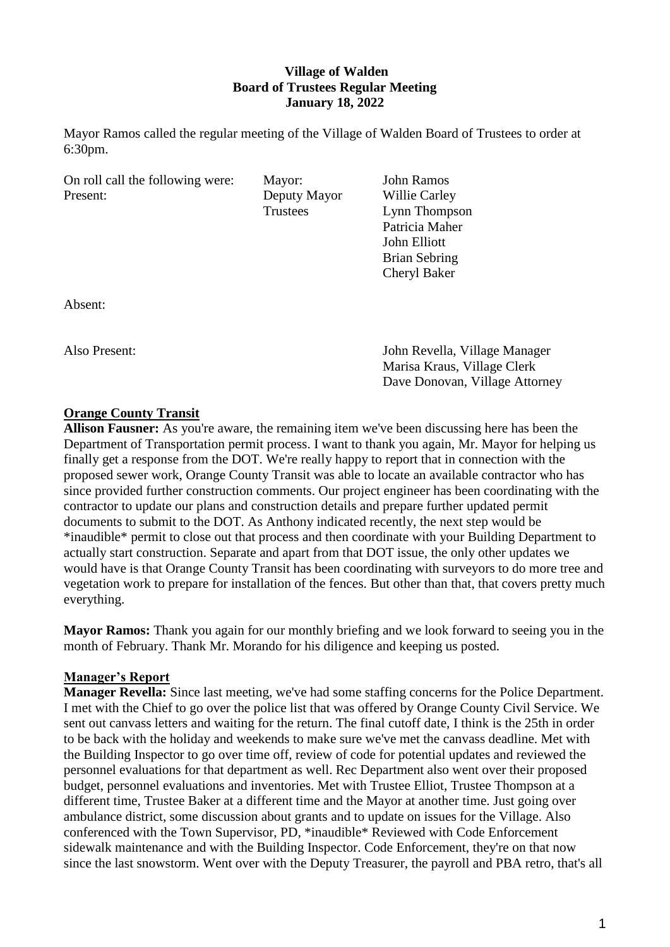### **Village of Walden Board of Trustees Regular Meeting January 18, 2022**

Mayor Ramos called the regular meeting of the Village of Walden Board of Trustees to order at 6:30pm.

| On roll call the following were: |  |
|----------------------------------|--|
| Present:                         |  |

**Deputy Mayor** Willie Carley

Mayor: John Ramos Trustees Lynn Thompson Patricia Maher John Elliott Brian Sebring Cheryl Baker

Absent:

Also Present: John Revella, Village Manager Marisa Kraus, Village Clerk Dave Donovan, Village Attorney

# **Orange County Transit**

**Allison Fausner:** As you're aware, the remaining item we've been discussing here has been the Department of Transportation permit process. I want to thank you again, Mr. Mayor for helping us finally get a response from the DOT. We're really happy to report that in connection with the proposed sewer work, Orange County Transit was able to locate an available contractor who has since provided further construction comments. Our project engineer has been coordinating with the contractor to update our plans and construction details and prepare further updated permit documents to submit to the DOT. As Anthony indicated recently, the next step would be \*inaudible\* permit to close out that process and then coordinate with your Building Department to actually start construction. Separate and apart from that DOT issue, the only other updates we would have is that Orange County Transit has been coordinating with surveyors to do more tree and vegetation work to prepare for installation of the fences. But other than that, that covers pretty much everything.

**Mayor Ramos:** Thank you again for our monthly briefing and we look forward to seeing you in the month of February. Thank Mr. Morando for his diligence and keeping us posted.

### **Manager's Report**

**Manager Revella:** Since last meeting, we've had some staffing concerns for the Police Department. I met with the Chief to go over the police list that was offered by Orange County Civil Service. We sent out canvass letters and waiting for the return. The final cutoff date, I think is the 25th in order to be back with the holiday and weekends to make sure we've met the canvass deadline. Met with the Building Inspector to go over time off, review of code for potential updates and reviewed the personnel evaluations for that department as well. Rec Department also went over their proposed budget, personnel evaluations and inventories. Met with Trustee Elliot, Trustee Thompson at a different time, Trustee Baker at a different time and the Mayor at another time. Just going over ambulance district, some discussion about grants and to update on issues for the Village. Also conferenced with the Town Supervisor, PD, \*inaudible\* Reviewed with Code Enforcement sidewalk maintenance and with the Building Inspector. Code Enforcement, they're on that now since the last snowstorm. Went over with the Deputy Treasurer, the payroll and PBA retro, that's all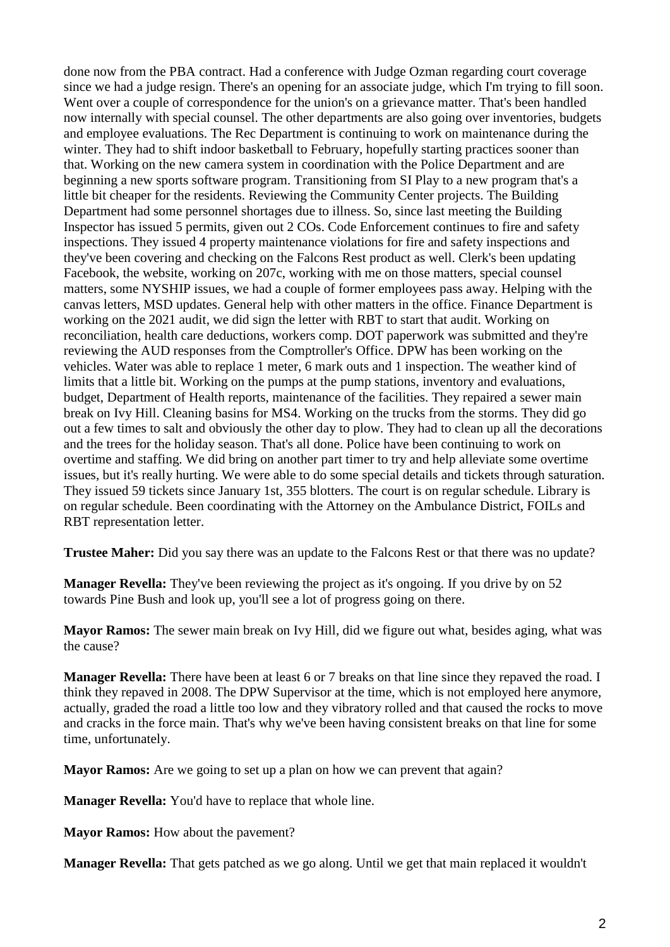done now from the PBA contract. Had a conference with Judge Ozman regarding court coverage since we had a judge resign. There's an opening for an associate judge, which I'm trying to fill soon. Went over a couple of correspondence for the union's on a grievance matter. That's been handled now internally with special counsel. The other departments are also going over inventories, budgets and employee evaluations. The Rec Department is continuing to work on maintenance during the winter. They had to shift indoor basketball to February, hopefully starting practices sooner than that. Working on the new camera system in coordination with the Police Department and are beginning a new sports software program. Transitioning from SI Play to a new program that's a little bit cheaper for the residents. Reviewing the Community Center projects. The Building Department had some personnel shortages due to illness. So, since last meeting the Building Inspector has issued 5 permits, given out 2 COs. Code Enforcement continues to fire and safety inspections. They issued 4 property maintenance violations for fire and safety inspections and they've been covering and checking on the Falcons Rest product as well. Clerk's been updating Facebook, the website, working on 207c, working with me on those matters, special counsel matters, some NYSHIP issues, we had a couple of former employees pass away. Helping with the canvas letters, MSD updates. General help with other matters in the office. Finance Department is working on the 2021 audit, we did sign the letter with RBT to start that audit. Working on reconciliation, health care deductions, workers comp. DOT paperwork was submitted and they're reviewing the AUD responses from the Comptroller's Office. DPW has been working on the vehicles. Water was able to replace 1 meter, 6 mark outs and 1 inspection. The weather kind of limits that a little bit. Working on the pumps at the pump stations, inventory and evaluations, budget, Department of Health reports, maintenance of the facilities. They repaired a sewer main break on Ivy Hill. Cleaning basins for MS4. Working on the trucks from the storms. They did go out a few times to salt and obviously the other day to plow. They had to clean up all the decorations and the trees for the holiday season. That's all done. Police have been continuing to work on overtime and staffing. We did bring on another part timer to try and help alleviate some overtime issues, but it's really hurting. We were able to do some special details and tickets through saturation. They issued 59 tickets since January 1st, 355 blotters. The court is on regular schedule. Library is on regular schedule. Been coordinating with the Attorney on the Ambulance District, FOILs and RBT representation letter.

**Trustee Maher:** Did you say there was an update to the Falcons Rest or that there was no update?

**Manager Revella:** They've been reviewing the project as it's ongoing. If you drive by on 52 towards Pine Bush and look up, you'll see a lot of progress going on there.

**Mayor Ramos:** The sewer main break on Ivy Hill, did we figure out what, besides aging, what was the cause?

**Manager Revella:** There have been at least 6 or 7 breaks on that line since they repaved the road. I think they repaved in 2008. The DPW Supervisor at the time, which is not employed here anymore, actually, graded the road a little too low and they vibratory rolled and that caused the rocks to move and cracks in the force main. That's why we've been having consistent breaks on that line for some time, unfortunately.

**Mayor Ramos:** Are we going to set up a plan on how we can prevent that again?

**Manager Revella:** You'd have to replace that whole line.

**Mayor Ramos:** How about the pavement?

**Manager Revella:** That gets patched as we go along. Until we get that main replaced it wouldn't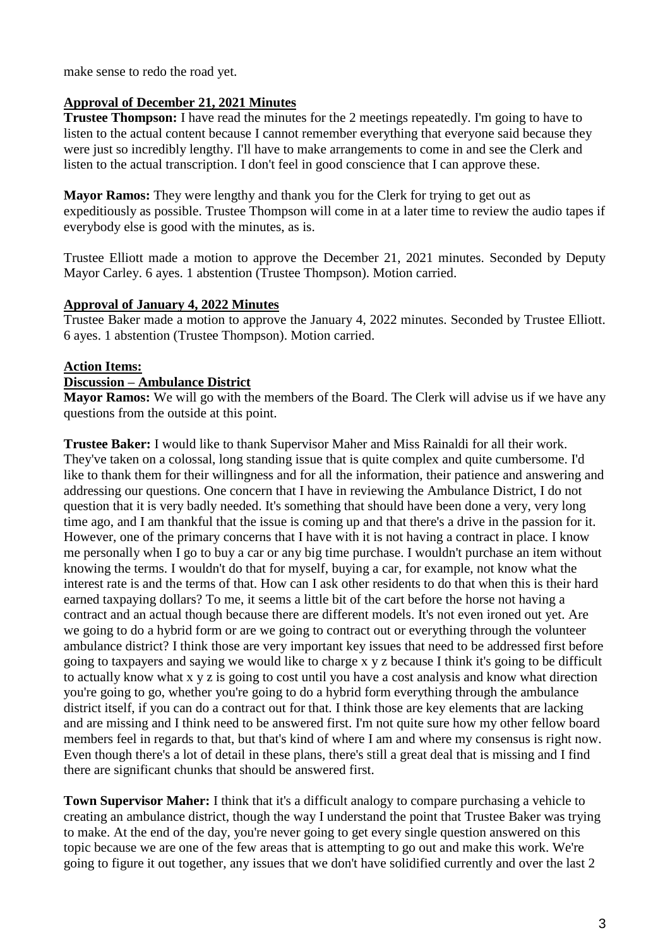make sense to redo the road yet.

## **Approval of December 21, 2021 Minutes**

**Trustee Thompson:** I have read the minutes for the 2 meetings repeatedly. I'm going to have to listen to the actual content because I cannot remember everything that everyone said because they were just so incredibly lengthy. I'll have to make arrangements to come in and see the Clerk and listen to the actual transcription. I don't feel in good conscience that I can approve these.

**Mayor Ramos:** They were lengthy and thank you for the Clerk for trying to get out as expeditiously as possible. Trustee Thompson will come in at a later time to review the audio tapes if everybody else is good with the minutes, as is.

Trustee Elliott made a motion to approve the December 21, 2021 minutes. Seconded by Deputy Mayor Carley. 6 ayes. 1 abstention (Trustee Thompson). Motion carried.

### **Approval of January 4, 2022 Minutes**

Trustee Baker made a motion to approve the January 4, 2022 minutes. Seconded by Trustee Elliott. 6 ayes. 1 abstention (Trustee Thompson). Motion carried.

### **Action Items:**

#### **Discussion – Ambulance District**

**Mayor Ramos:** We will go with the members of the Board. The Clerk will advise us if we have any questions from the outside at this point.

**Trustee Baker:** I would like to thank Supervisor Maher and Miss Rainaldi for all their work. They've taken on a colossal, long standing issue that is quite complex and quite cumbersome. I'd like to thank them for their willingness and for all the information, their patience and answering and addressing our questions. One concern that I have in reviewing the Ambulance District, I do not question that it is very badly needed. It's something that should have been done a very, very long time ago, and I am thankful that the issue is coming up and that there's a drive in the passion for it. However, one of the primary concerns that I have with it is not having a contract in place. I know me personally when I go to buy a car or any big time purchase. I wouldn't purchase an item without knowing the terms. I wouldn't do that for myself, buying a car, for example, not know what the interest rate is and the terms of that. How can I ask other residents to do that when this is their hard earned taxpaying dollars? To me, it seems a little bit of the cart before the horse not having a contract and an actual though because there are different models. It's not even ironed out yet. Are we going to do a hybrid form or are we going to contract out or everything through the volunteer ambulance district? I think those are very important key issues that need to be addressed first before going to taxpayers and saying we would like to charge x y z because I think it's going to be difficult to actually know what x y z is going to cost until you have a cost analysis and know what direction you're going to go, whether you're going to do a hybrid form everything through the ambulance district itself, if you can do a contract out for that. I think those are key elements that are lacking and are missing and I think need to be answered first. I'm not quite sure how my other fellow board members feel in regards to that, but that's kind of where I am and where my consensus is right now. Even though there's a lot of detail in these plans, there's still a great deal that is missing and I find there are significant chunks that should be answered first.

**Town Supervisor Maher:** I think that it's a difficult analogy to compare purchasing a vehicle to creating an ambulance district, though the way I understand the point that Trustee Baker was trying to make. At the end of the day, you're never going to get every single question answered on this topic because we are one of the few areas that is attempting to go out and make this work. We're going to figure it out together, any issues that we don't have solidified currently and over the last 2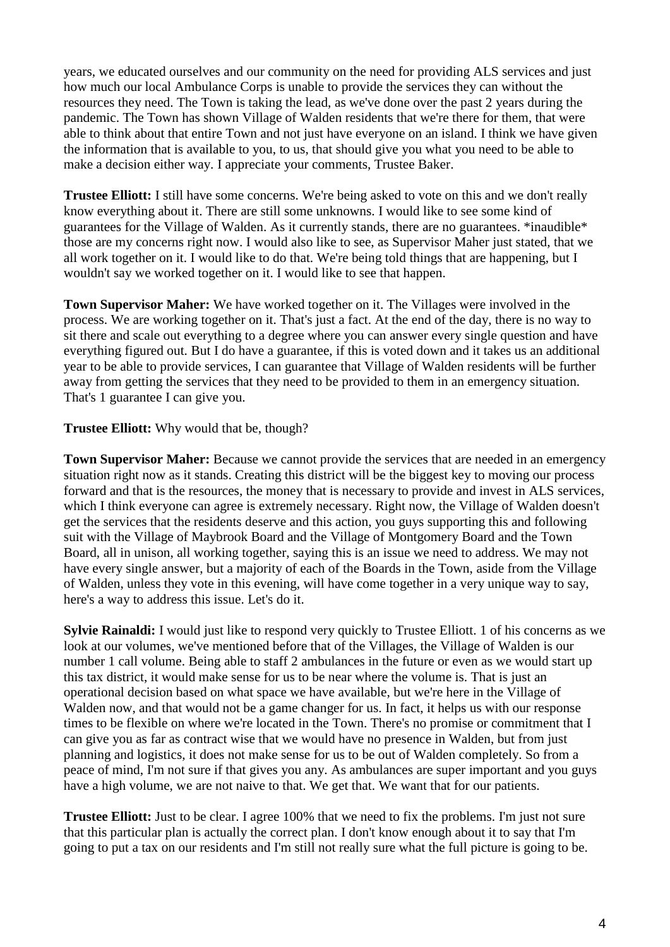years, we educated ourselves and our community on the need for providing ALS services and just how much our local Ambulance Corps is unable to provide the services they can without the resources they need. The Town is taking the lead, as we've done over the past 2 years during the pandemic. The Town has shown Village of Walden residents that we're there for them, that were able to think about that entire Town and not just have everyone on an island. I think we have given the information that is available to you, to us, that should give you what you need to be able to make a decision either way. I appreciate your comments, Trustee Baker.

**Trustee Elliott:** I still have some concerns. We're being asked to vote on this and we don't really know everything about it. There are still some unknowns. I would like to see some kind of guarantees for the Village of Walden. As it currently stands, there are no guarantees. \*inaudible\* those are my concerns right now. I would also like to see, as Supervisor Maher just stated, that we all work together on it. I would like to do that. We're being told things that are happening, but I wouldn't say we worked together on it. I would like to see that happen.

**Town Supervisor Maher:** We have worked together on it. The Villages were involved in the process. We are working together on it. That's just a fact. At the end of the day, there is no way to sit there and scale out everything to a degree where you can answer every single question and have everything figured out. But I do have a guarantee, if this is voted down and it takes us an additional year to be able to provide services, I can guarantee that Village of Walden residents will be further away from getting the services that they need to be provided to them in an emergency situation. That's 1 guarantee I can give you.

**Trustee Elliott:** Why would that be, though?

**Town Supervisor Maher:** Because we cannot provide the services that are needed in an emergency situation right now as it stands. Creating this district will be the biggest key to moving our process forward and that is the resources, the money that is necessary to provide and invest in ALS services, which I think everyone can agree is extremely necessary. Right now, the Village of Walden doesn't get the services that the residents deserve and this action, you guys supporting this and following suit with the Village of Maybrook Board and the Village of Montgomery Board and the Town Board, all in unison, all working together, saying this is an issue we need to address. We may not have every single answer, but a majority of each of the Boards in the Town, aside from the Village of Walden, unless they vote in this evening, will have come together in a very unique way to say, here's a way to address this issue. Let's do it.

**Sylvie Rainaldi:** I would just like to respond very quickly to Trustee Elliott. 1 of his concerns as we look at our volumes, we've mentioned before that of the Villages, the Village of Walden is our number 1 call volume. Being able to staff 2 ambulances in the future or even as we would start up this tax district, it would make sense for us to be near where the volume is. That is just an operational decision based on what space we have available, but we're here in the Village of Walden now, and that would not be a game changer for us. In fact, it helps us with our response times to be flexible on where we're located in the Town. There's no promise or commitment that I can give you as far as contract wise that we would have no presence in Walden, but from just planning and logistics, it does not make sense for us to be out of Walden completely. So from a peace of mind, I'm not sure if that gives you any. As ambulances are super important and you guys have a high volume, we are not naive to that. We get that. We want that for our patients.

**Trustee Elliott:** Just to be clear. I agree 100% that we need to fix the problems. I'm just not sure that this particular plan is actually the correct plan. I don't know enough about it to say that I'm going to put a tax on our residents and I'm still not really sure what the full picture is going to be.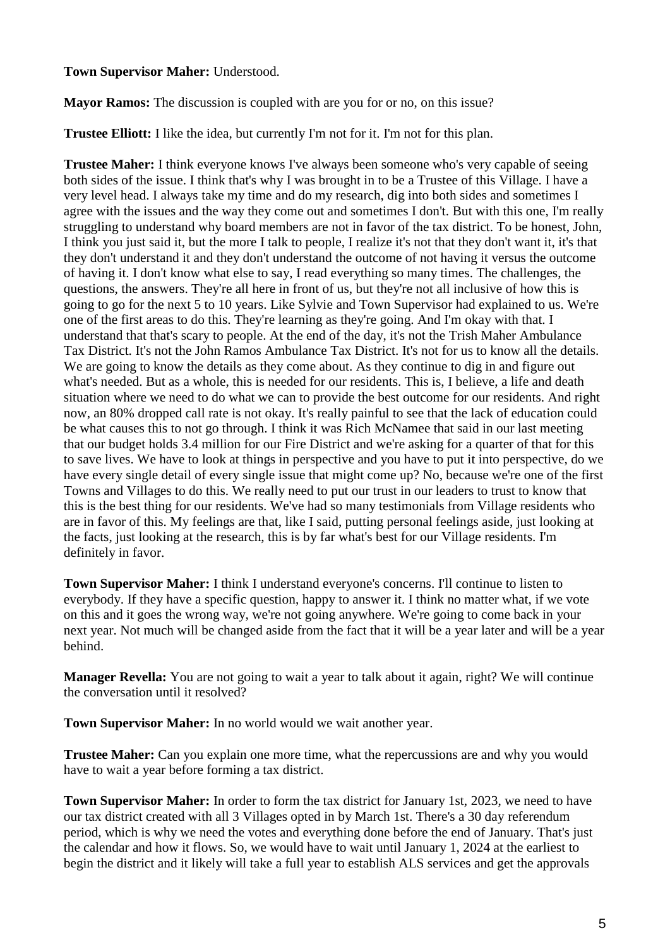### **Town Supervisor Maher:** Understood.

**Mayor Ramos:** The discussion is coupled with are you for or no, on this issue?

**Trustee Elliott:** I like the idea, but currently I'm not for it. I'm not for this plan.

**Trustee Maher:** I think everyone knows I've always been someone who's very capable of seeing both sides of the issue. I think that's why I was brought in to be a Trustee of this Village. I have a very level head. I always take my time and do my research, dig into both sides and sometimes I agree with the issues and the way they come out and sometimes I don't. But with this one, I'm really struggling to understand why board members are not in favor of the tax district. To be honest, John, I think you just said it, but the more I talk to people, I realize it's not that they don't want it, it's that they don't understand it and they don't understand the outcome of not having it versus the outcome of having it. I don't know what else to say, I read everything so many times. The challenges, the questions, the answers. They're all here in front of us, but they're not all inclusive of how this is going to go for the next 5 to 10 years. Like Sylvie and Town Supervisor had explained to us. We're one of the first areas to do this. They're learning as they're going. And I'm okay with that. I understand that that's scary to people. At the end of the day, it's not the Trish Maher Ambulance Tax District. It's not the John Ramos Ambulance Tax District. It's not for us to know all the details. We are going to know the details as they come about. As they continue to dig in and figure out what's needed. But as a whole, this is needed for our residents. This is, I believe, a life and death situation where we need to do what we can to provide the best outcome for our residents. And right now, an 80% dropped call rate is not okay. It's really painful to see that the lack of education could be what causes this to not go through. I think it was Rich McNamee that said in our last meeting that our budget holds 3.4 million for our Fire District and we're asking for a quarter of that for this to save lives. We have to look at things in perspective and you have to put it into perspective, do we have every single detail of every single issue that might come up? No, because we're one of the first Towns and Villages to do this. We really need to put our trust in our leaders to trust to know that this is the best thing for our residents. We've had so many testimonials from Village residents who are in favor of this. My feelings are that, like I said, putting personal feelings aside, just looking at the facts, just looking at the research, this is by far what's best for our Village residents. I'm definitely in favor.

**Town Supervisor Maher:** I think I understand everyone's concerns. I'll continue to listen to everybody. If they have a specific question, happy to answer it. I think no matter what, if we vote on this and it goes the wrong way, we're not going anywhere. We're going to come back in your next year. Not much will be changed aside from the fact that it will be a year later and will be a year behind.

**Manager Revella:** You are not going to wait a year to talk about it again, right? We will continue the conversation until it resolved?

**Town Supervisor Maher:** In no world would we wait another year.

**Trustee Maher:** Can you explain one more time, what the repercussions are and why you would have to wait a year before forming a tax district.

**Town Supervisor Maher:** In order to form the tax district for January 1st, 2023, we need to have our tax district created with all 3 Villages opted in by March 1st. There's a 30 day referendum period, which is why we need the votes and everything done before the end of January. That's just the calendar and how it flows. So, we would have to wait until January 1, 2024 at the earliest to begin the district and it likely will take a full year to establish ALS services and get the approvals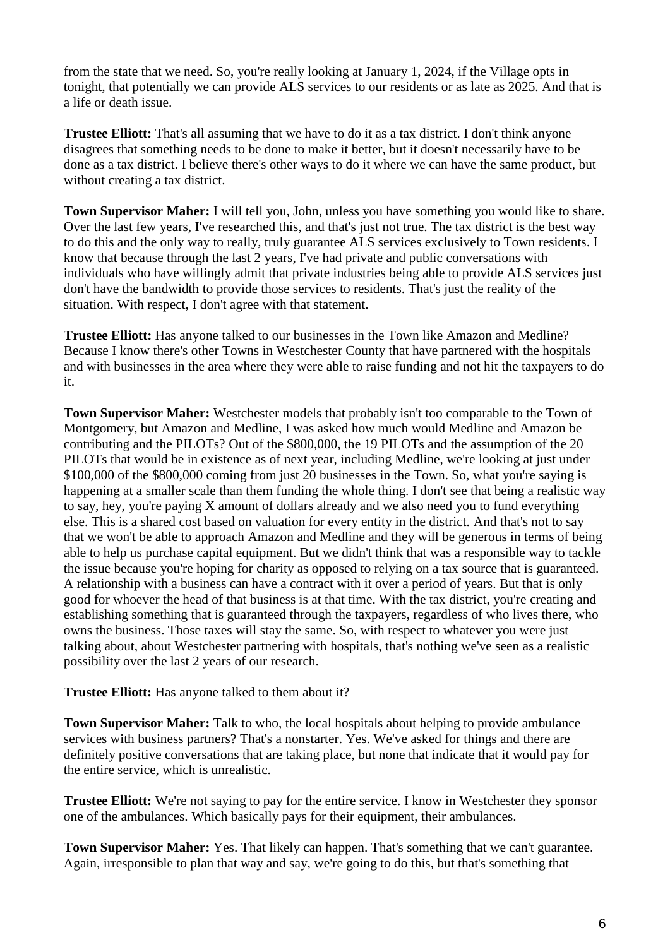from the state that we need. So, you're really looking at January 1, 2024, if the Village opts in tonight, that potentially we can provide ALS services to our residents or as late as 2025. And that is a life or death issue.

**Trustee Elliott:** That's all assuming that we have to do it as a tax district. I don't think anyone disagrees that something needs to be done to make it better, but it doesn't necessarily have to be done as a tax district. I believe there's other ways to do it where we can have the same product, but without creating a tax district.

**Town Supervisor Maher:** I will tell you, John, unless you have something you would like to share. Over the last few years, I've researched this, and that's just not true. The tax district is the best way to do this and the only way to really, truly guarantee ALS services exclusively to Town residents. I know that because through the last 2 years, I've had private and public conversations with individuals who have willingly admit that private industries being able to provide ALS services just don't have the bandwidth to provide those services to residents. That's just the reality of the situation. With respect, I don't agree with that statement.

**Trustee Elliott:** Has anyone talked to our businesses in the Town like Amazon and Medline? Because I know there's other Towns in Westchester County that have partnered with the hospitals and with businesses in the area where they were able to raise funding and not hit the taxpayers to do it.

**Town Supervisor Maher:** Westchester models that probably isn't too comparable to the Town of Montgomery, but Amazon and Medline, I was asked how much would Medline and Amazon be contributing and the PILOTs? Out of the \$800,000, the 19 PILOTs and the assumption of the 20 PILOTs that would be in existence as of next year, including Medline, we're looking at just under \$100,000 of the \$800,000 coming from just 20 businesses in the Town. So, what you're saying is happening at a smaller scale than them funding the whole thing. I don't see that being a realistic way to say, hey, you're paying X amount of dollars already and we also need you to fund everything else. This is a shared cost based on valuation for every entity in the district. And that's not to say that we won't be able to approach Amazon and Medline and they will be generous in terms of being able to help us purchase capital equipment. But we didn't think that was a responsible way to tackle the issue because you're hoping for charity as opposed to relying on a tax source that is guaranteed. A relationship with a business can have a contract with it over a period of years. But that is only good for whoever the head of that business is at that time. With the tax district, you're creating and establishing something that is guaranteed through the taxpayers, regardless of who lives there, who owns the business. Those taxes will stay the same. So, with respect to whatever you were just talking about, about Westchester partnering with hospitals, that's nothing we've seen as a realistic possibility over the last 2 years of our research.

**Trustee Elliott:** Has anyone talked to them about it?

**Town Supervisor Maher:** Talk to who, the local hospitals about helping to provide ambulance services with business partners? That's a nonstarter. Yes. We've asked for things and there are definitely positive conversations that are taking place, but none that indicate that it would pay for the entire service, which is unrealistic.

**Trustee Elliott:** We're not saying to pay for the entire service. I know in Westchester they sponsor one of the ambulances. Which basically pays for their equipment, their ambulances.

**Town Supervisor Maher:** Yes. That likely can happen. That's something that we can't guarantee. Again, irresponsible to plan that way and say, we're going to do this, but that's something that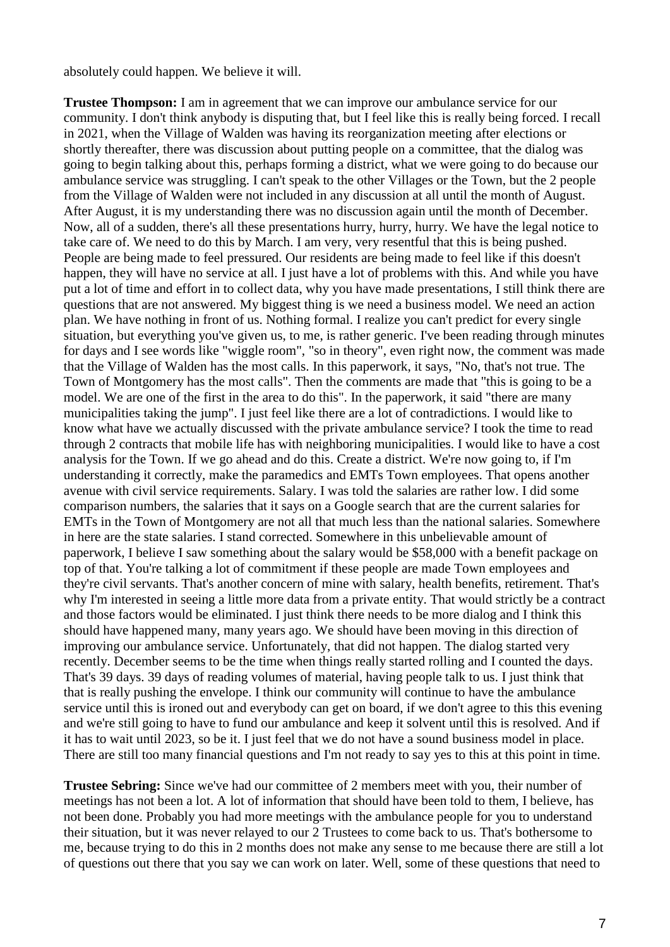absolutely could happen. We believe it will.

**Trustee Thompson:** I am in agreement that we can improve our ambulance service for our community. I don't think anybody is disputing that, but I feel like this is really being forced. I recall in 2021, when the Village of Walden was having its reorganization meeting after elections or shortly thereafter, there was discussion about putting people on a committee, that the dialog was going to begin talking about this, perhaps forming a district, what we were going to do because our ambulance service was struggling. I can't speak to the other Villages or the Town, but the 2 people from the Village of Walden were not included in any discussion at all until the month of August. After August, it is my understanding there was no discussion again until the month of December. Now, all of a sudden, there's all these presentations hurry, hurry, hurry. We have the legal notice to take care of. We need to do this by March. I am very, very resentful that this is being pushed. People are being made to feel pressured. Our residents are being made to feel like if this doesn't happen, they will have no service at all. I just have a lot of problems with this. And while you have put a lot of time and effort in to collect data, why you have made presentations, I still think there are questions that are not answered. My biggest thing is we need a business model. We need an action plan. We have nothing in front of us. Nothing formal. I realize you can't predict for every single situation, but everything you've given us, to me, is rather generic. I've been reading through minutes for days and I see words like "wiggle room", "so in theory", even right now, the comment was made that the Village of Walden has the most calls. In this paperwork, it says, "No, that's not true. The Town of Montgomery has the most calls". Then the comments are made that "this is going to be a model. We are one of the first in the area to do this". In the paperwork, it said "there are many municipalities taking the jump". I just feel like there are a lot of contradictions. I would like to know what have we actually discussed with the private ambulance service? I took the time to read through 2 contracts that mobile life has with neighboring municipalities. I would like to have a cost analysis for the Town. If we go ahead and do this. Create a district. We're now going to, if I'm understanding it correctly, make the paramedics and EMTs Town employees. That opens another avenue with civil service requirements. Salary. I was told the salaries are rather low. I did some comparison numbers, the salaries that it says on a Google search that are the current salaries for EMTs in the Town of Montgomery are not all that much less than the national salaries. Somewhere in here are the state salaries. I stand corrected. Somewhere in this unbelievable amount of paperwork, I believe I saw something about the salary would be \$58,000 with a benefit package on top of that. You're talking a lot of commitment if these people are made Town employees and they're civil servants. That's another concern of mine with salary, health benefits, retirement. That's why I'm interested in seeing a little more data from a private entity. That would strictly be a contract and those factors would be eliminated. I just think there needs to be more dialog and I think this should have happened many, many years ago. We should have been moving in this direction of improving our ambulance service. Unfortunately, that did not happen. The dialog started very recently. December seems to be the time when things really started rolling and I counted the days. That's 39 days. 39 days of reading volumes of material, having people talk to us. I just think that that is really pushing the envelope. I think our community will continue to have the ambulance service until this is ironed out and everybody can get on board, if we don't agree to this this evening and we're still going to have to fund our ambulance and keep it solvent until this is resolved. And if it has to wait until 2023, so be it. I just feel that we do not have a sound business model in place. There are still too many financial questions and I'm not ready to say yes to this at this point in time.

**Trustee Sebring:** Since we've had our committee of 2 members meet with you, their number of meetings has not been a lot. A lot of information that should have been told to them, I believe, has not been done. Probably you had more meetings with the ambulance people for you to understand their situation, but it was never relayed to our 2 Trustees to come back to us. That's bothersome to me, because trying to do this in 2 months does not make any sense to me because there are still a lot of questions out there that you say we can work on later. Well, some of these questions that need to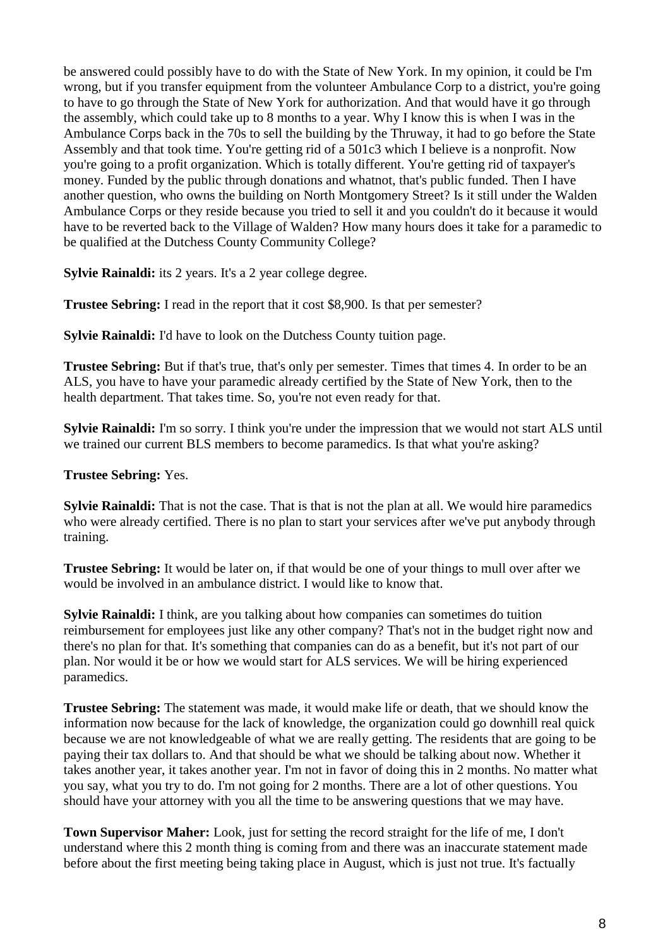be answered could possibly have to do with the State of New York. In my opinion, it could be I'm wrong, but if you transfer equipment from the volunteer Ambulance Corp to a district, you're going to have to go through the State of New York for authorization. And that would have it go through the assembly, which could take up to 8 months to a year. Why I know this is when I was in the Ambulance Corps back in the 70s to sell the building by the Thruway, it had to go before the State Assembly and that took time. You're getting rid of a 501c3 which I believe is a nonprofit. Now you're going to a profit organization. Which is totally different. You're getting rid of taxpayer's money. Funded by the public through donations and whatnot, that's public funded. Then I have another question, who owns the building on North Montgomery Street? Is it still under the Walden Ambulance Corps or they reside because you tried to sell it and you couldn't do it because it would have to be reverted back to the Village of Walden? How many hours does it take for a paramedic to be qualified at the Dutchess County Community College?

**Sylvie Rainaldi:** its 2 years. It's a 2 year college degree.

**Trustee Sebring:** I read in the report that it cost \$8,900. Is that per semester?

**Sylvie Rainaldi:** I'd have to look on the Dutchess County tuition page.

**Trustee Sebring:** But if that's true, that's only per semester. Times that times 4. In order to be an ALS, you have to have your paramedic already certified by the State of New York, then to the health department. That takes time. So, you're not even ready for that.

**Sylvie Rainaldi:** I'm so sorry. I think you're under the impression that we would not start ALS until we trained our current BLS members to become paramedics. Is that what you're asking?

**Trustee Sebring:** Yes.

**Sylvie Rainaldi:** That is not the case. That is that is not the plan at all. We would hire paramedics who were already certified. There is no plan to start your services after we've put anybody through training.

**Trustee Sebring:** It would be later on, if that would be one of your things to mull over after we would be involved in an ambulance district. I would like to know that.

**Sylvie Rainaldi:** I think, are you talking about how companies can sometimes do tuition reimbursement for employees just like any other company? That's not in the budget right now and there's no plan for that. It's something that companies can do as a benefit, but it's not part of our plan. Nor would it be or how we would start for ALS services. We will be hiring experienced paramedics.

**Trustee Sebring:** The statement was made, it would make life or death, that we should know the information now because for the lack of knowledge, the organization could go downhill real quick because we are not knowledgeable of what we are really getting. The residents that are going to be paying their tax dollars to. And that should be what we should be talking about now. Whether it takes another year, it takes another year. I'm not in favor of doing this in 2 months. No matter what you say, what you try to do. I'm not going for 2 months. There are a lot of other questions. You should have your attorney with you all the time to be answering questions that we may have.

**Town Supervisor Maher:** Look, just for setting the record straight for the life of me, I don't understand where this 2 month thing is coming from and there was an inaccurate statement made before about the first meeting being taking place in August, which is just not true. It's factually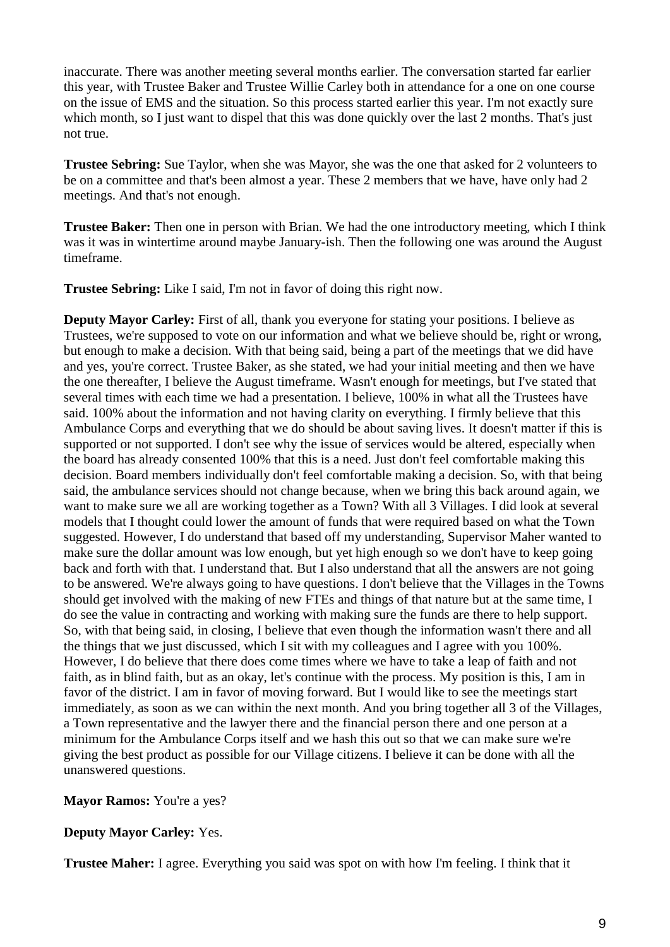inaccurate. There was another meeting several months earlier. The conversation started far earlier this year, with Trustee Baker and Trustee Willie Carley both in attendance for a one on one course on the issue of EMS and the situation. So this process started earlier this year. I'm not exactly sure which month, so I just want to dispel that this was done quickly over the last 2 months. That's just not true.

**Trustee Sebring:** Sue Taylor, when she was Mayor, she was the one that asked for 2 volunteers to be on a committee and that's been almost a year. These 2 members that we have, have only had 2 meetings. And that's not enough.

**Trustee Baker:** Then one in person with Brian. We had the one introductory meeting, which I think was it was in wintertime around maybe January-ish. Then the following one was around the August timeframe.

**Trustee Sebring:** Like I said, I'm not in favor of doing this right now.

**Deputy Mayor Carley:** First of all, thank you everyone for stating your positions. I believe as Trustees, we're supposed to vote on our information and what we believe should be, right or wrong, but enough to make a decision. With that being said, being a part of the meetings that we did have and yes, you're correct. Trustee Baker, as she stated, we had your initial meeting and then we have the one thereafter, I believe the August timeframe. Wasn't enough for meetings, but I've stated that several times with each time we had a presentation. I believe, 100% in what all the Trustees have said. 100% about the information and not having clarity on everything. I firmly believe that this Ambulance Corps and everything that we do should be about saving lives. It doesn't matter if this is supported or not supported. I don't see why the issue of services would be altered, especially when the board has already consented 100% that this is a need. Just don't feel comfortable making this decision. Board members individually don't feel comfortable making a decision. So, with that being said, the ambulance services should not change because, when we bring this back around again, we want to make sure we all are working together as a Town? With all 3 Villages. I did look at several models that I thought could lower the amount of funds that were required based on what the Town suggested. However, I do understand that based off my understanding, Supervisor Maher wanted to make sure the dollar amount was low enough, but yet high enough so we don't have to keep going back and forth with that. I understand that. But I also understand that all the answers are not going to be answered. We're always going to have questions. I don't believe that the Villages in the Towns should get involved with the making of new FTEs and things of that nature but at the same time, I do see the value in contracting and working with making sure the funds are there to help support. So, with that being said, in closing, I believe that even though the information wasn't there and all the things that we just discussed, which I sit with my colleagues and I agree with you 100%. However, I do believe that there does come times where we have to take a leap of faith and not faith, as in blind faith, but as an okay, let's continue with the process. My position is this, I am in favor of the district. I am in favor of moving forward. But I would like to see the meetings start immediately, as soon as we can within the next month. And you bring together all 3 of the Villages, a Town representative and the lawyer there and the financial person there and one person at a minimum for the Ambulance Corps itself and we hash this out so that we can make sure we're giving the best product as possible for our Village citizens. I believe it can be done with all the unanswered questions.

**Mayor Ramos:** You're a yes?

**Deputy Mayor Carley:** Yes.

**Trustee Maher:** I agree. Everything you said was spot on with how I'm feeling. I think that it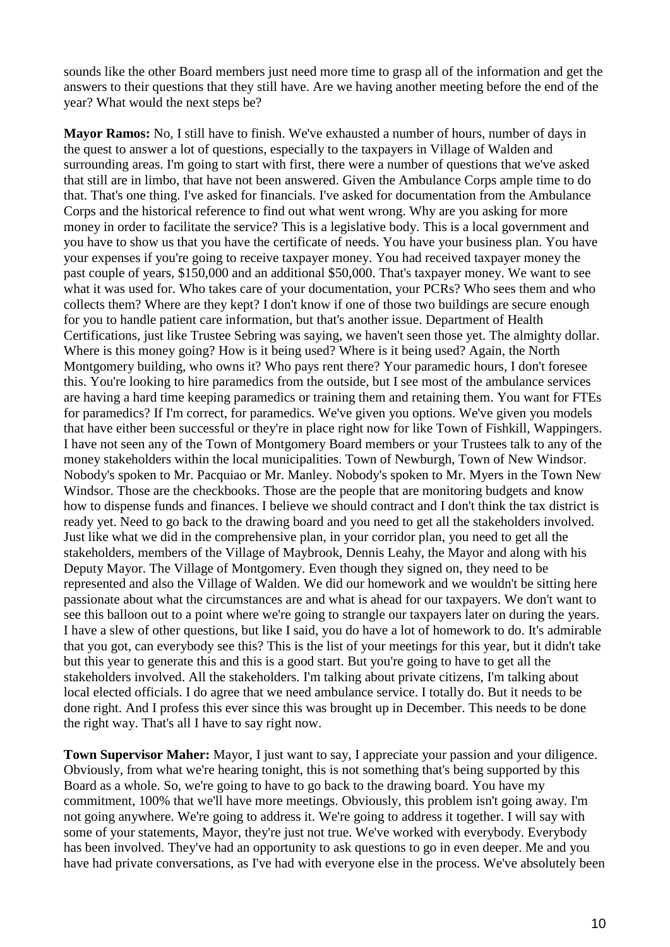sounds like the other Board members just need more time to grasp all of the information and get the answers to their questions that they still have. Are we having another meeting before the end of the year? What would the next steps be?

**Mayor Ramos:** No, I still have to finish. We've exhausted a number of hours, number of days in the quest to answer a lot of questions, especially to the taxpayers in Village of Walden and surrounding areas. I'm going to start with first, there were a number of questions that we've asked that still are in limbo, that have not been answered. Given the Ambulance Corps ample time to do that. That's one thing. I've asked for financials. I've asked for documentation from the Ambulance Corps and the historical reference to find out what went wrong. Why are you asking for more money in order to facilitate the service? This is a legislative body. This is a local government and you have to show us that you have the certificate of needs. You have your business plan. You have your expenses if you're going to receive taxpayer money. You had received taxpayer money the past couple of years, \$150,000 and an additional \$50,000. That's taxpayer money. We want to see what it was used for. Who takes care of your documentation, your PCRs? Who sees them and who collects them? Where are they kept? I don't know if one of those two buildings are secure enough for you to handle patient care information, but that's another issue. Department of Health Certifications, just like Trustee Sebring was saying, we haven't seen those yet. The almighty dollar. Where is this money going? How is it being used? Where is it being used? Again, the North Montgomery building, who owns it? Who pays rent there? Your paramedic hours, I don't foresee this. You're looking to hire paramedics from the outside, but I see most of the ambulance services are having a hard time keeping paramedics or training them and retaining them. You want for FTEs for paramedics? If I'm correct, for paramedics. We've given you options. We've given you models that have either been successful or they're in place right now for like Town of Fishkill, Wappingers. I have not seen any of the Town of Montgomery Board members or your Trustees talk to any of the money stakeholders within the local municipalities. Town of Newburgh, Town of New Windsor. Nobody's spoken to Mr. Pacquiao or Mr. Manley. Nobody's spoken to Mr. Myers in the Town New Windsor. Those are the checkbooks. Those are the people that are monitoring budgets and know how to dispense funds and finances. I believe we should contract and I don't think the tax district is ready yet. Need to go back to the drawing board and you need to get all the stakeholders involved. Just like what we did in the comprehensive plan, in your corridor plan, you need to get all the stakeholders, members of the Village of Maybrook, Dennis Leahy, the Mayor and along with his Deputy Mayor. The Village of Montgomery. Even though they signed on, they need to be represented and also the Village of Walden. We did our homework and we wouldn't be sitting here passionate about what the circumstances are and what is ahead for our taxpayers. We don't want to see this balloon out to a point where we're going to strangle our taxpayers later on during the years. I have a slew of other questions, but like I said, you do have a lot of homework to do. It's admirable that you got, can everybody see this? This is the list of your meetings for this year, but it didn't take but this year to generate this and this is a good start. But you're going to have to get all the stakeholders involved. All the stakeholders. I'm talking about private citizens, I'm talking about local elected officials. I do agree that we need ambulance service. I totally do. But it needs to be done right. And I profess this ever since this was brought up in December. This needs to be done the right way. That's all I have to say right now.

**Town Supervisor Maher:** Mayor, I just want to say, I appreciate your passion and your diligence. Obviously, from what we're hearing tonight, this is not something that's being supported by this Board as a whole. So, we're going to have to go back to the drawing board. You have my commitment, 100% that we'll have more meetings. Obviously, this problem isn't going away. I'm not going anywhere. We're going to address it. We're going to address it together. I will say with some of your statements, Mayor, they're just not true. We've worked with everybody. Everybody has been involved. They've had an opportunity to ask questions to go in even deeper. Me and you have had private conversations, as I've had with everyone else in the process. We've absolutely been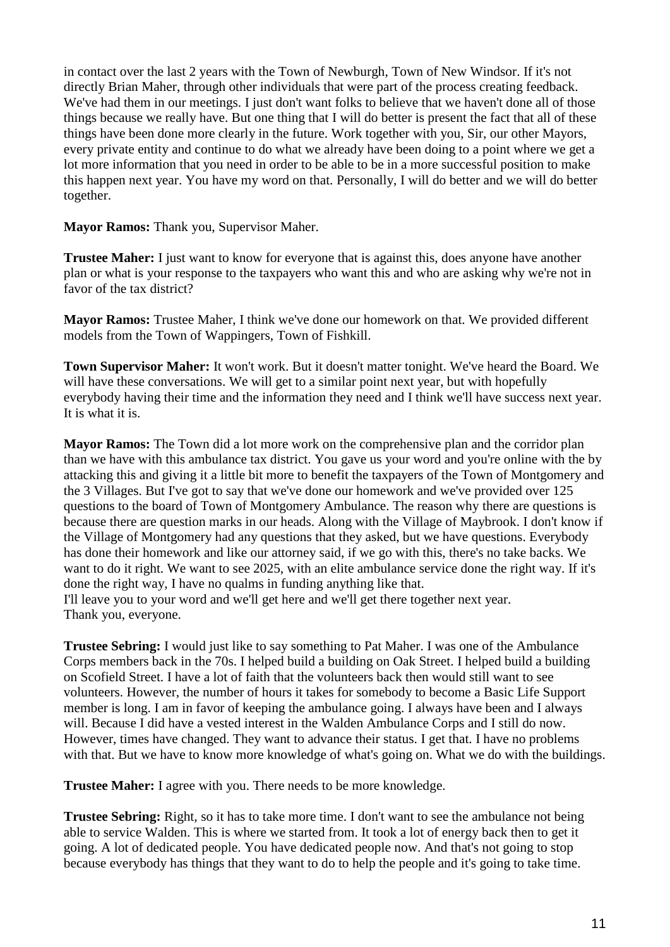in contact over the last 2 years with the Town of Newburgh, Town of New Windsor. If it's not directly Brian Maher, through other individuals that were part of the process creating feedback. We've had them in our meetings. I just don't want folks to believe that we haven't done all of those things because we really have. But one thing that I will do better is present the fact that all of these things have been done more clearly in the future. Work together with you, Sir, our other Mayors, every private entity and continue to do what we already have been doing to a point where we get a lot more information that you need in order to be able to be in a more successful position to make this happen next year. You have my word on that. Personally, I will do better and we will do better together.

**Mayor Ramos:** Thank you, Supervisor Maher.

**Trustee Maher:** I just want to know for everyone that is against this, does anyone have another plan or what is your response to the taxpayers who want this and who are asking why we're not in favor of the tax district?

**Mayor Ramos:** Trustee Maher, I think we've done our homework on that. We provided different models from the Town of Wappingers, Town of Fishkill.

**Town Supervisor Maher:** It won't work. But it doesn't matter tonight. We've heard the Board. We will have these conversations. We will get to a similar point next year, but with hopefully everybody having their time and the information they need and I think we'll have success next year. It is what it is.

**Mayor Ramos:** The Town did a lot more work on the comprehensive plan and the corridor plan than we have with this ambulance tax district. You gave us your word and you're online with the by attacking this and giving it a little bit more to benefit the taxpayers of the Town of Montgomery and the 3 Villages. But I've got to say that we've done our homework and we've provided over 125 questions to the board of Town of Montgomery Ambulance. The reason why there are questions is because there are question marks in our heads. Along with the Village of Maybrook. I don't know if the Village of Montgomery had any questions that they asked, but we have questions. Everybody has done their homework and like our attorney said, if we go with this, there's no take backs. We want to do it right. We want to see 2025, with an elite ambulance service done the right way. If it's done the right way, I have no qualms in funding anything like that. I'll leave you to your word and we'll get here and we'll get there together next year. Thank you, everyone.

**Trustee Sebring:** I would just like to say something to Pat Maher. I was one of the Ambulance Corps members back in the 70s. I helped build a building on Oak Street. I helped build a building on Scofield Street. I have a lot of faith that the volunteers back then would still want to see volunteers. However, the number of hours it takes for somebody to become a Basic Life Support member is long. I am in favor of keeping the ambulance going. I always have been and I always will. Because I did have a vested interest in the Walden Ambulance Corps and I still do now. However, times have changed. They want to advance their status. I get that. I have no problems with that. But we have to know more knowledge of what's going on. What we do with the buildings.

**Trustee Maher:** I agree with you. There needs to be more knowledge.

**Trustee Sebring:** Right, so it has to take more time. I don't want to see the ambulance not being able to service Walden. This is where we started from. It took a lot of energy back then to get it going. A lot of dedicated people. You have dedicated people now. And that's not going to stop because everybody has things that they want to do to help the people and it's going to take time.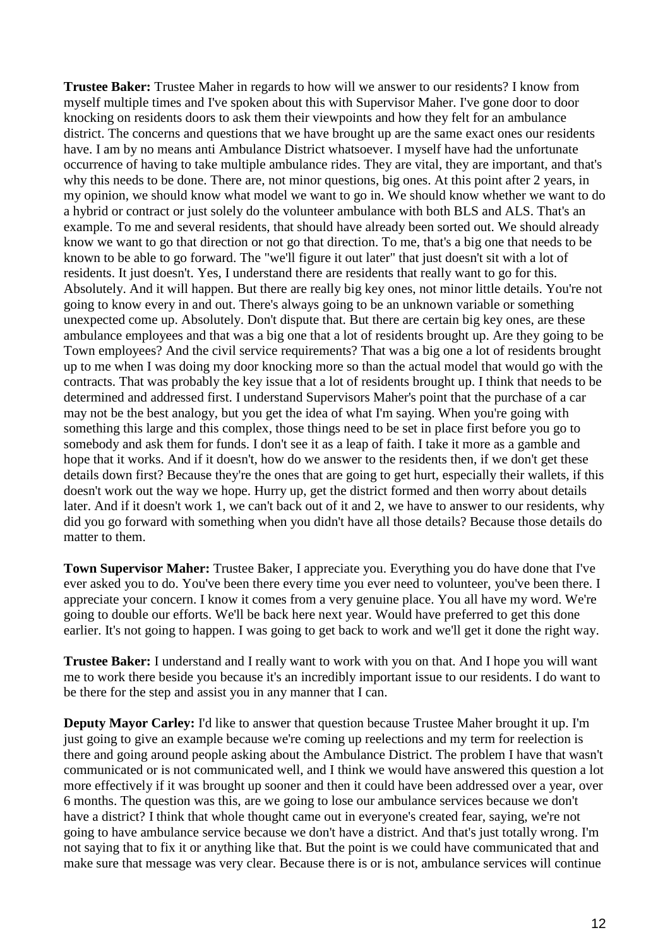**Trustee Baker:** Trustee Maher in regards to how will we answer to our residents? I know from myself multiple times and I've spoken about this with Supervisor Maher. I've gone door to door knocking on residents doors to ask them their viewpoints and how they felt for an ambulance district. The concerns and questions that we have brought up are the same exact ones our residents have. I am by no means anti Ambulance District whatsoever. I myself have had the unfortunate occurrence of having to take multiple ambulance rides. They are vital, they are important, and that's why this needs to be done. There are, not minor questions, big ones. At this point after 2 years, in my opinion, we should know what model we want to go in. We should know whether we want to do a hybrid or contract or just solely do the volunteer ambulance with both BLS and ALS. That's an example. To me and several residents, that should have already been sorted out. We should already know we want to go that direction or not go that direction. To me, that's a big one that needs to be known to be able to go forward. The "we'll figure it out later" that just doesn't sit with a lot of residents. It just doesn't. Yes, I understand there are residents that really want to go for this. Absolutely. And it will happen. But there are really big key ones, not minor little details. You're not going to know every in and out. There's always going to be an unknown variable or something unexpected come up. Absolutely. Don't dispute that. But there are certain big key ones, are these ambulance employees and that was a big one that a lot of residents brought up. Are they going to be Town employees? And the civil service requirements? That was a big one a lot of residents brought up to me when I was doing my door knocking more so than the actual model that would go with the contracts. That was probably the key issue that a lot of residents brought up. I think that needs to be determined and addressed first. I understand Supervisors Maher's point that the purchase of a car may not be the best analogy, but you get the idea of what I'm saying. When you're going with something this large and this complex, those things need to be set in place first before you go to somebody and ask them for funds. I don't see it as a leap of faith. I take it more as a gamble and hope that it works. And if it doesn't, how do we answer to the residents then, if we don't get these details down first? Because they're the ones that are going to get hurt, especially their wallets, if this doesn't work out the way we hope. Hurry up, get the district formed and then worry about details later. And if it doesn't work 1, we can't back out of it and 2, we have to answer to our residents, why did you go forward with something when you didn't have all those details? Because those details do matter to them.

**Town Supervisor Maher:** Trustee Baker, I appreciate you. Everything you do have done that I've ever asked you to do. You've been there every time you ever need to volunteer, you've been there. I appreciate your concern. I know it comes from a very genuine place. You all have my word. We're going to double our efforts. We'll be back here next year. Would have preferred to get this done earlier. It's not going to happen. I was going to get back to work and we'll get it done the right way.

**Trustee Baker:** I understand and I really want to work with you on that. And I hope you will want me to work there beside you because it's an incredibly important issue to our residents. I do want to be there for the step and assist you in any manner that I can.

**Deputy Mayor Carley:** I'd like to answer that question because Trustee Maher brought it up. I'm just going to give an example because we're coming up reelections and my term for reelection is there and going around people asking about the Ambulance District. The problem I have that wasn't communicated or is not communicated well, and I think we would have answered this question a lot more effectively if it was brought up sooner and then it could have been addressed over a year, over 6 months. The question was this, are we going to lose our ambulance services because we don't have a district? I think that whole thought came out in everyone's created fear, saying, we're not going to have ambulance service because we don't have a district. And that's just totally wrong. I'm not saying that to fix it or anything like that. But the point is we could have communicated that and make sure that message was very clear. Because there is or is not, ambulance services will continue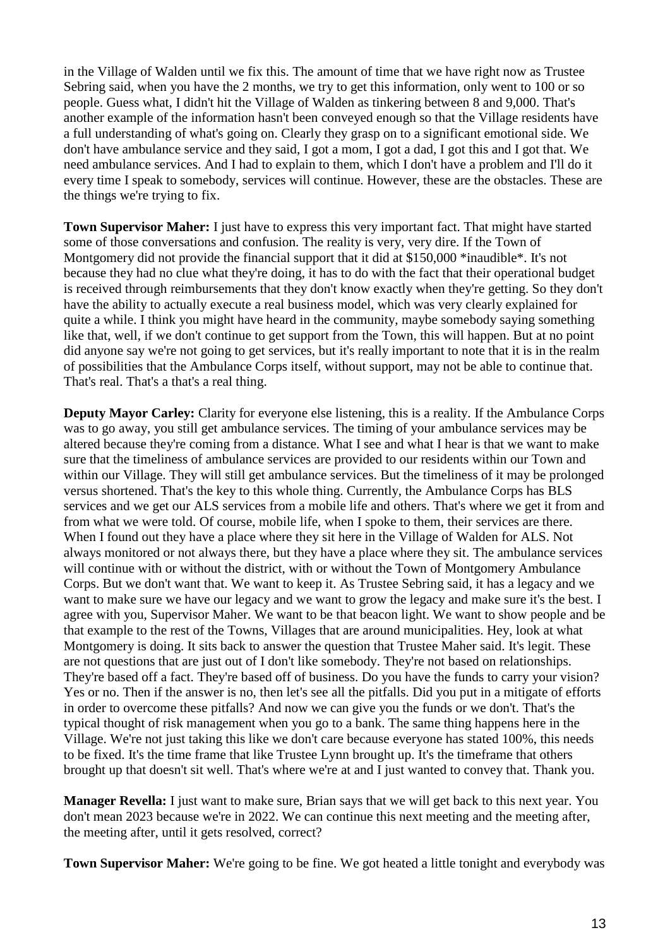in the Village of Walden until we fix this. The amount of time that we have right now as Trustee Sebring said, when you have the 2 months, we try to get this information, only went to 100 or so people. Guess what, I didn't hit the Village of Walden as tinkering between 8 and 9,000. That's another example of the information hasn't been conveyed enough so that the Village residents have a full understanding of what's going on. Clearly they grasp on to a significant emotional side. We don't have ambulance service and they said, I got a mom, I got a dad, I got this and I got that. We need ambulance services. And I had to explain to them, which I don't have a problem and I'll do it every time I speak to somebody, services will continue. However, these are the obstacles. These are the things we're trying to fix.

**Town Supervisor Maher:** I just have to express this very important fact. That might have started some of those conversations and confusion. The reality is very, very dire. If the Town of Montgomery did not provide the financial support that it did at \$150,000 \*inaudible\*. It's not because they had no clue what they're doing, it has to do with the fact that their operational budget is received through reimbursements that they don't know exactly when they're getting. So they don't have the ability to actually execute a real business model, which was very clearly explained for quite a while. I think you might have heard in the community, maybe somebody saying something like that, well, if we don't continue to get support from the Town, this will happen. But at no point did anyone say we're not going to get services, but it's really important to note that it is in the realm of possibilities that the Ambulance Corps itself, without support, may not be able to continue that. That's real. That's a that's a real thing.

**Deputy Mayor Carley:** Clarity for everyone else listening, this is a reality. If the Ambulance Corps was to go away, you still get ambulance services. The timing of your ambulance services may be altered because they're coming from a distance. What I see and what I hear is that we want to make sure that the timeliness of ambulance services are provided to our residents within our Town and within our Village. They will still get ambulance services. But the timeliness of it may be prolonged versus shortened. That's the key to this whole thing. Currently, the Ambulance Corps has BLS services and we get our ALS services from a mobile life and others. That's where we get it from and from what we were told. Of course, mobile life, when I spoke to them, their services are there. When I found out they have a place where they sit here in the Village of Walden for ALS. Not always monitored or not always there, but they have a place where they sit. The ambulance services will continue with or without the district, with or without the Town of Montgomery Ambulance Corps. But we don't want that. We want to keep it. As Trustee Sebring said, it has a legacy and we want to make sure we have our legacy and we want to grow the legacy and make sure it's the best. I agree with you, Supervisor Maher. We want to be that beacon light. We want to show people and be that example to the rest of the Towns, Villages that are around municipalities. Hey, look at what Montgomery is doing. It sits back to answer the question that Trustee Maher said. It's legit. These are not questions that are just out of I don't like somebody. They're not based on relationships. They're based off a fact. They're based off of business. Do you have the funds to carry your vision? Yes or no. Then if the answer is no, then let's see all the pitfalls. Did you put in a mitigate of efforts in order to overcome these pitfalls? And now we can give you the funds or we don't. That's the typical thought of risk management when you go to a bank. The same thing happens here in the Village. We're not just taking this like we don't care because everyone has stated 100%, this needs to be fixed. It's the time frame that like Trustee Lynn brought up. It's the timeframe that others brought up that doesn't sit well. That's where we're at and I just wanted to convey that. Thank you.

**Manager Revella:** I just want to make sure, Brian says that we will get back to this next year. You don't mean 2023 because we're in 2022. We can continue this next meeting and the meeting after, the meeting after, until it gets resolved, correct?

**Town Supervisor Maher:** We're going to be fine. We got heated a little tonight and everybody was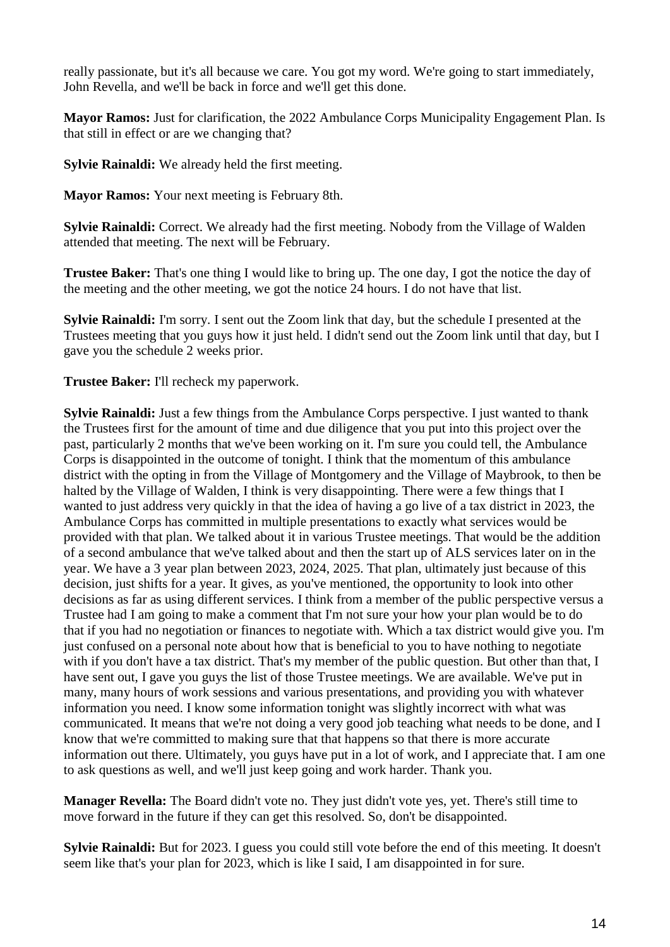really passionate, but it's all because we care. You got my word. We're going to start immediately, John Revella, and we'll be back in force and we'll get this done.

**Mayor Ramos:** Just for clarification, the 2022 Ambulance Corps Municipality Engagement Plan. Is that still in effect or are we changing that?

**Sylvie Rainaldi:** We already held the first meeting.

**Mayor Ramos:** Your next meeting is February 8th.

**Sylvie Rainaldi:** Correct. We already had the first meeting. Nobody from the Village of Walden attended that meeting. The next will be February.

**Trustee Baker:** That's one thing I would like to bring up. The one day, I got the notice the day of the meeting and the other meeting, we got the notice 24 hours. I do not have that list.

**Sylvie Rainaldi:** I'm sorry. I sent out the Zoom link that day, but the schedule I presented at the Trustees meeting that you guys how it just held. I didn't send out the Zoom link until that day, but I gave you the schedule 2 weeks prior.

**Trustee Baker:** I'll recheck my paperwork.

**Sylvie Rainaldi:** Just a few things from the Ambulance Corps perspective. I just wanted to thank the Trustees first for the amount of time and due diligence that you put into this project over the past, particularly 2 months that we've been working on it. I'm sure you could tell, the Ambulance Corps is disappointed in the outcome of tonight. I think that the momentum of this ambulance district with the opting in from the Village of Montgomery and the Village of Maybrook, to then be halted by the Village of Walden, I think is very disappointing. There were a few things that I wanted to just address very quickly in that the idea of having a go live of a tax district in 2023, the Ambulance Corps has committed in multiple presentations to exactly what services would be provided with that plan. We talked about it in various Trustee meetings. That would be the addition of a second ambulance that we've talked about and then the start up of ALS services later on in the year. We have a 3 year plan between 2023, 2024, 2025. That plan, ultimately just because of this decision, just shifts for a year. It gives, as you've mentioned, the opportunity to look into other decisions as far as using different services. I think from a member of the public perspective versus a Trustee had I am going to make a comment that I'm not sure your how your plan would be to do that if you had no negotiation or finances to negotiate with. Which a tax district would give you. I'm just confused on a personal note about how that is beneficial to you to have nothing to negotiate with if you don't have a tax district. That's my member of the public question. But other than that, I have sent out, I gave you guys the list of those Trustee meetings. We are available. We've put in many, many hours of work sessions and various presentations, and providing you with whatever information you need. I know some information tonight was slightly incorrect with what was communicated. It means that we're not doing a very good job teaching what needs to be done, and I know that we're committed to making sure that that happens so that there is more accurate information out there. Ultimately, you guys have put in a lot of work, and I appreciate that. I am one to ask questions as well, and we'll just keep going and work harder. Thank you.

**Manager Revella:** The Board didn't vote no. They just didn't vote yes, yet. There's still time to move forward in the future if they can get this resolved. So, don't be disappointed.

**Sylvie Rainaldi:** But for 2023. I guess you could still vote before the end of this meeting. It doesn't seem like that's your plan for 2023, which is like I said, I am disappointed in for sure.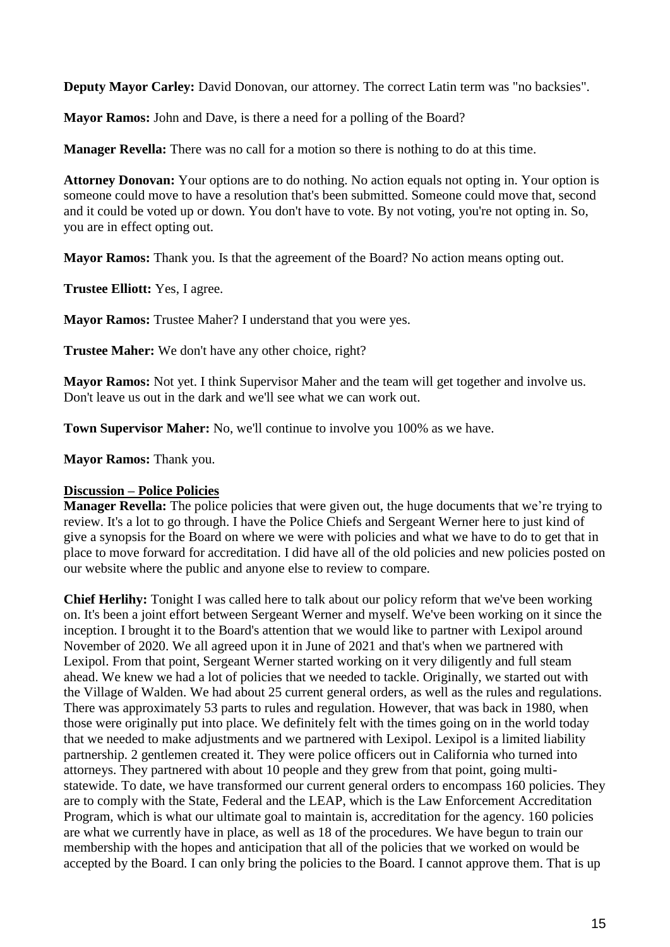**Deputy Mayor Carley:** David Donovan, our attorney. The correct Latin term was "no backsies".

**Mayor Ramos:** John and Dave, is there a need for a polling of the Board?

**Manager Revella:** There was no call for a motion so there is nothing to do at this time.

**Attorney Donovan:** Your options are to do nothing. No action equals not opting in. Your option is someone could move to have a resolution that's been submitted. Someone could move that, second and it could be voted up or down. You don't have to vote. By not voting, you're not opting in. So, you are in effect opting out.

**Mayor Ramos:** Thank you. Is that the agreement of the Board? No action means opting out.

**Trustee Elliott:** Yes, I agree.

**Mayor Ramos:** Trustee Maher? I understand that you were yes.

**Trustee Maher:** We don't have any other choice, right?

**Mayor Ramos:** Not yet. I think Supervisor Maher and the team will get together and involve us. Don't leave us out in the dark and we'll see what we can work out.

**Town Supervisor Maher:** No, we'll continue to involve you 100% as we have.

**Mayor Ramos:** Thank you.

### **Discussion – Police Policies**

**Manager Revella:** The police policies that were given out, the huge documents that we're trying to review. It's a lot to go through. I have the Police Chiefs and Sergeant Werner here to just kind of give a synopsis for the Board on where we were with policies and what we have to do to get that in place to move forward for accreditation. I did have all of the old policies and new policies posted on our website where the public and anyone else to review to compare.

**Chief Herlihy:** Tonight I was called here to talk about our policy reform that we've been working on. It's been a joint effort between Sergeant Werner and myself. We've been working on it since the inception. I brought it to the Board's attention that we would like to partner with Lexipol around November of 2020. We all agreed upon it in June of 2021 and that's when we partnered with Lexipol. From that point, Sergeant Werner started working on it very diligently and full steam ahead. We knew we had a lot of policies that we needed to tackle. Originally, we started out with the Village of Walden. We had about 25 current general orders, as well as the rules and regulations. There was approximately 53 parts to rules and regulation. However, that was back in 1980, when those were originally put into place. We definitely felt with the times going on in the world today that we needed to make adjustments and we partnered with Lexipol. Lexipol is a limited liability partnership. 2 gentlemen created it. They were police officers out in California who turned into attorneys. They partnered with about 10 people and they grew from that point, going multistatewide. To date, we have transformed our current general orders to encompass 160 policies. They are to comply with the State, Federal and the LEAP, which is the Law Enforcement Accreditation Program, which is what our ultimate goal to maintain is, accreditation for the agency. 160 policies are what we currently have in place, as well as 18 of the procedures. We have begun to train our membership with the hopes and anticipation that all of the policies that we worked on would be accepted by the Board. I can only bring the policies to the Board. I cannot approve them. That is up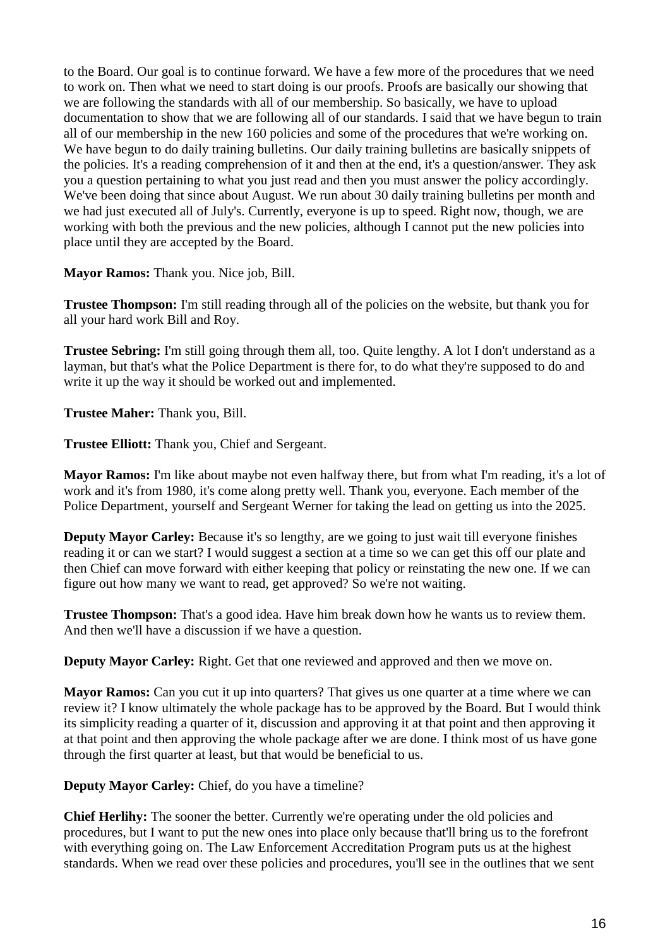to the Board. Our goal is to continue forward. We have a few more of the procedures that we need to work on. Then what we need to start doing is our proofs. Proofs are basically our showing that we are following the standards with all of our membership. So basically, we have to upload documentation to show that we are following all of our standards. I said that we have begun to train all of our membership in the new 160 policies and some of the procedures that we're working on. We have begun to do daily training bulletins. Our daily training bulletins are basically snippets of the policies. It's a reading comprehension of it and then at the end, it's a question/answer. They ask you a question pertaining to what you just read and then you must answer the policy accordingly. We've been doing that since about August. We run about 30 daily training bulletins per month and we had just executed all of July's. Currently, everyone is up to speed. Right now, though, we are working with both the previous and the new policies, although I cannot put the new policies into place until they are accepted by the Board.

**Mayor Ramos:** Thank you. Nice job, Bill.

**Trustee Thompson:** I'm still reading through all of the policies on the website, but thank you for all your hard work Bill and Roy.

**Trustee Sebring:** I'm still going through them all, too. Quite lengthy. A lot I don't understand as a layman, but that's what the Police Department is there for, to do what they're supposed to do and write it up the way it should be worked out and implemented.

**Trustee Maher:** Thank you, Bill.

**Trustee Elliott:** Thank you, Chief and Sergeant.

**Mayor Ramos:** I'm like about maybe not even halfway there, but from what I'm reading, it's a lot of work and it's from 1980, it's come along pretty well. Thank you, everyone. Each member of the Police Department, yourself and Sergeant Werner for taking the lead on getting us into the 2025.

**Deputy Mayor Carley:** Because it's so lengthy, are we going to just wait till everyone finishes reading it or can we start? I would suggest a section at a time so we can get this off our plate and then Chief can move forward with either keeping that policy or reinstating the new one. If we can figure out how many we want to read, get approved? So we're not waiting.

**Trustee Thompson:** That's a good idea. Have him break down how he wants us to review them. And then we'll have a discussion if we have a question.

**Deputy Mayor Carley:** Right. Get that one reviewed and approved and then we move on.

**Mayor Ramos:** Can you cut it up into quarters? That gives us one quarter at a time where we can review it? I know ultimately the whole package has to be approved by the Board. But I would think its simplicity reading a quarter of it, discussion and approving it at that point and then approving it at that point and then approving the whole package after we are done. I think most of us have gone through the first quarter at least, but that would be beneficial to us.

**Deputy Mayor Carley:** Chief, do you have a timeline?

**Chief Herlihy:** The sooner the better. Currently we're operating under the old policies and procedures, but I want to put the new ones into place only because that'll bring us to the forefront with everything going on. The Law Enforcement Accreditation Program puts us at the highest standards. When we read over these policies and procedures, you'll see in the outlines that we sent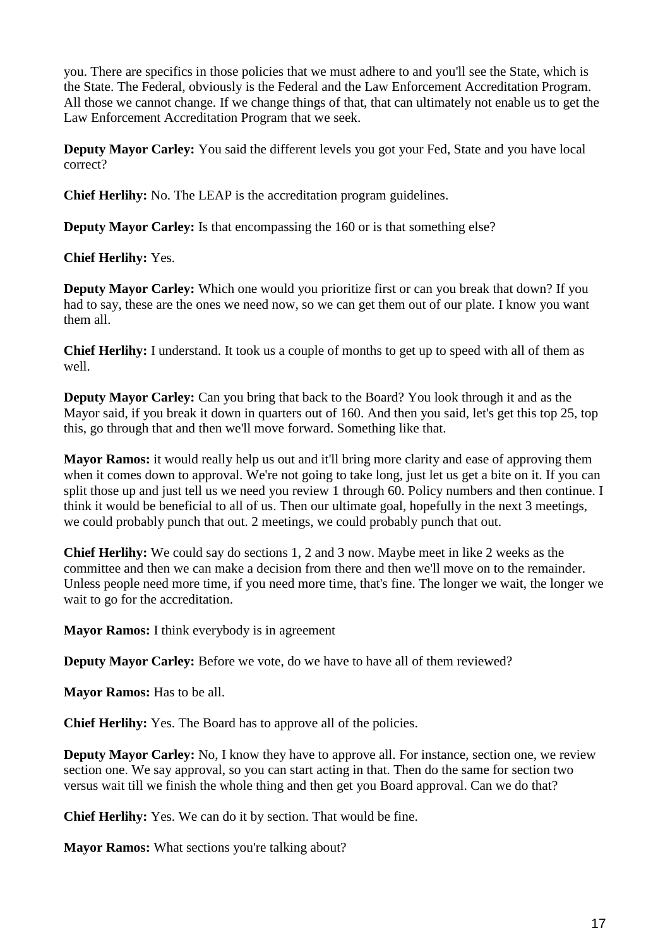you. There are specifics in those policies that we must adhere to and you'll see the State, which is the State. The Federal, obviously is the Federal and the Law Enforcement Accreditation Program. All those we cannot change. If we change things of that, that can ultimately not enable us to get the Law Enforcement Accreditation Program that we seek.

**Deputy Mayor Carley:** You said the different levels you got your Fed, State and you have local correct?

**Chief Herlihy:** No. The LEAP is the accreditation program guidelines.

**Deputy Mayor Carley:** Is that encompassing the 160 or is that something else?

# **Chief Herlihy:** Yes.

**Deputy Mayor Carley:** Which one would you prioritize first or can you break that down? If you had to say, these are the ones we need now, so we can get them out of our plate. I know you want them all.

**Chief Herlihy:** I understand. It took us a couple of months to get up to speed with all of them as well.

**Deputy Mayor Carley:** Can you bring that back to the Board? You look through it and as the Mayor said, if you break it down in quarters out of 160. And then you said, let's get this top 25, top this, go through that and then we'll move forward. Something like that.

**Mayor Ramos:** it would really help us out and it'll bring more clarity and ease of approving them when it comes down to approval. We're not going to take long, just let us get a bite on it. If you can split those up and just tell us we need you review 1 through 60. Policy numbers and then continue. I think it would be beneficial to all of us. Then our ultimate goal, hopefully in the next 3 meetings, we could probably punch that out. 2 meetings, we could probably punch that out.

**Chief Herlihy:** We could say do sections 1, 2 and 3 now. Maybe meet in like 2 weeks as the committee and then we can make a decision from there and then we'll move on to the remainder. Unless people need more time, if you need more time, that's fine. The longer we wait, the longer we wait to go for the accreditation.

**Mayor Ramos:** I think everybody is in agreement

**Deputy Mayor Carley:** Before we vote, do we have to have all of them reviewed?

Mayor Ramos: Has to be all.

**Chief Herlihy:** Yes. The Board has to approve all of the policies.

**Deputy Mayor Carley:** No, I know they have to approve all. For instance, section one, we review section one. We say approval, so you can start acting in that. Then do the same for section two versus wait till we finish the whole thing and then get you Board approval. Can we do that?

**Chief Herlihy:** Yes. We can do it by section. That would be fine.

**Mayor Ramos:** What sections you're talking about?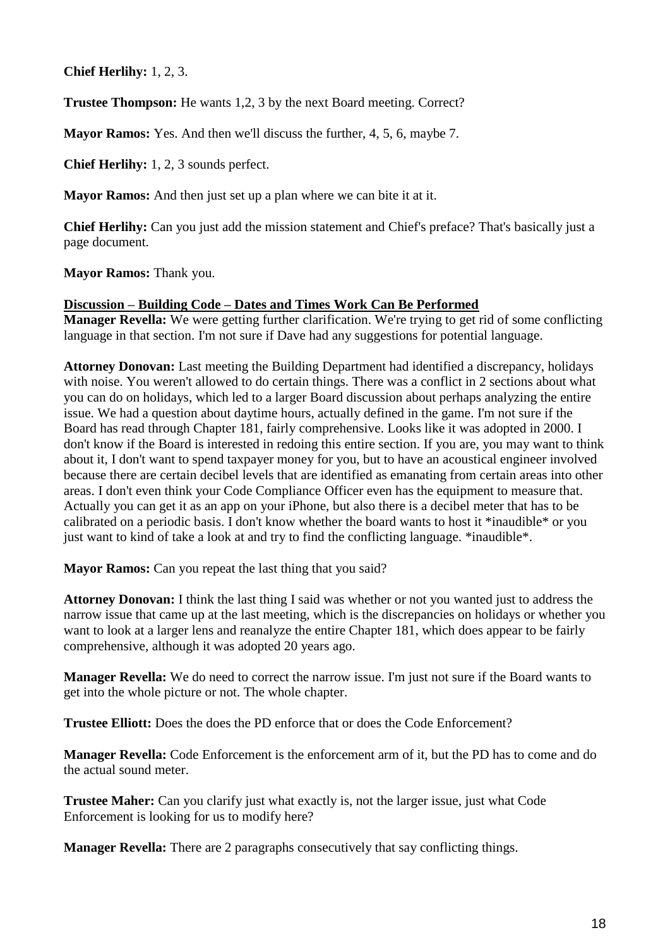**Chief Herlihy:** 1, 2, 3.

**Trustee Thompson:** He wants 1,2, 3 by the next Board meeting. Correct?

**Mayor Ramos:** Yes. And then we'll discuss the further, 4, 5, 6, maybe 7.

**Chief Herlihy:** 1, 2, 3 sounds perfect.

**Mayor Ramos:** And then just set up a plan where we can bite it at it.

**Chief Herlihy:** Can you just add the mission statement and Chief's preface? That's basically just a page document.

**Mayor Ramos:** Thank you.

#### **Discussion – Building Code – Dates and Times Work Can Be Performed**

**Manager Revella:** We were getting further clarification. We're trying to get rid of some conflicting language in that section. I'm not sure if Dave had any suggestions for potential language.

**Attorney Donovan:** Last meeting the Building Department had identified a discrepancy, holidays with noise. You weren't allowed to do certain things. There was a conflict in 2 sections about what you can do on holidays, which led to a larger Board discussion about perhaps analyzing the entire issue. We had a question about daytime hours, actually defined in the game. I'm not sure if the Board has read through Chapter 181, fairly comprehensive. Looks like it was adopted in 2000. I don't know if the Board is interested in redoing this entire section. If you are, you may want to think about it, I don't want to spend taxpayer money for you, but to have an acoustical engineer involved because there are certain decibel levels that are identified as emanating from certain areas into other areas. I don't even think your Code Compliance Officer even has the equipment to measure that. Actually you can get it as an app on your iPhone, but also there is a decibel meter that has to be calibrated on a periodic basis. I don't know whether the board wants to host it \*inaudible\* or you just want to kind of take a look at and try to find the conflicting language. \*inaudible\*.

**Mayor Ramos:** Can you repeat the last thing that you said?

**Attorney Donovan:** I think the last thing I said was whether or not you wanted just to address the narrow issue that came up at the last meeting, which is the discrepancies on holidays or whether you want to look at a larger lens and reanalyze the entire Chapter 181, which does appear to be fairly comprehensive, although it was adopted 20 years ago.

**Manager Revella:** We do need to correct the narrow issue. I'm just not sure if the Board wants to get into the whole picture or not. The whole chapter.

**Trustee Elliott:** Does the does the PD enforce that or does the Code Enforcement?

**Manager Revella:** Code Enforcement is the enforcement arm of it, but the PD has to come and do the actual sound meter.

**Trustee Maher:** Can you clarify just what exactly is, not the larger issue, just what Code Enforcement is looking for us to modify here?

**Manager Revella:** There are 2 paragraphs consecutively that say conflicting things.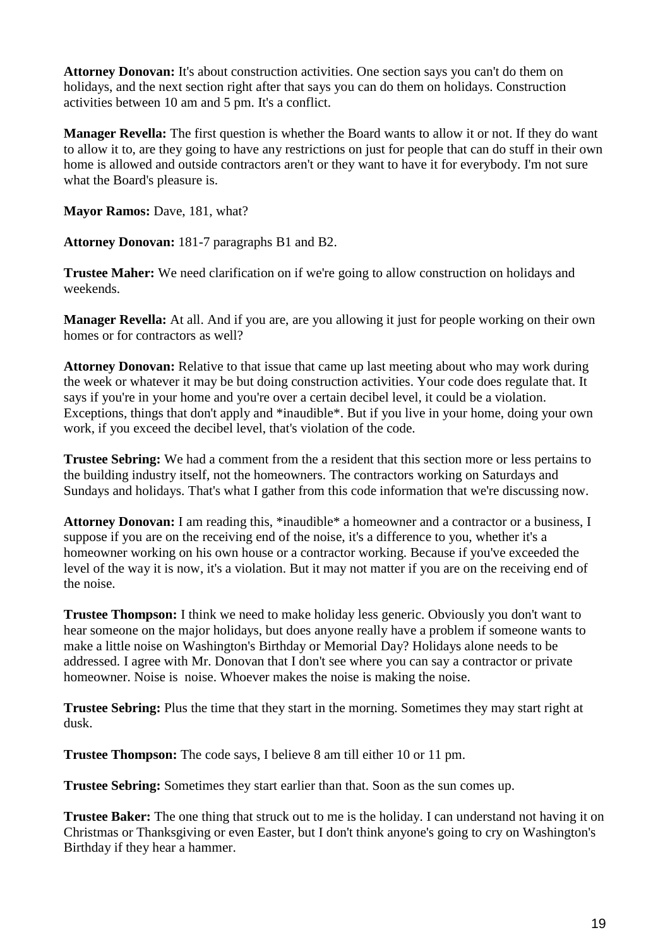**Attorney Donovan:** It's about construction activities. One section says you can't do them on holidays, and the next section right after that says you can do them on holidays. Construction activities between 10 am and 5 pm. It's a conflict.

**Manager Revella:** The first question is whether the Board wants to allow it or not. If they do want to allow it to, are they going to have any restrictions on just for people that can do stuff in their own home is allowed and outside contractors aren't or they want to have it for everybody. I'm not sure what the Board's pleasure is.

**Mayor Ramos: Dave, 181, what?** 

**Attorney Donovan:** 181-7 paragraphs B1 and B2.

**Trustee Maher:** We need clarification on if we're going to allow construction on holidays and weekends.

**Manager Revella:** At all. And if you are, are you allowing it just for people working on their own homes or for contractors as well?

**Attorney Donovan:** Relative to that issue that came up last meeting about who may work during the week or whatever it may be but doing construction activities. Your code does regulate that. It says if you're in your home and you're over a certain decibel level, it could be a violation. Exceptions, things that don't apply and \*inaudible\*. But if you live in your home, doing your own work, if you exceed the decibel level, that's violation of the code.

**Trustee Sebring:** We had a comment from the a resident that this section more or less pertains to the building industry itself, not the homeowners. The contractors working on Saturdays and Sundays and holidays. That's what I gather from this code information that we're discussing now.

**Attorney Donovan:** I am reading this, \*inaudible\* a homeowner and a contractor or a business, I suppose if you are on the receiving end of the noise, it's a difference to you, whether it's a homeowner working on his own house or a contractor working. Because if you've exceeded the level of the way it is now, it's a violation. But it may not matter if you are on the receiving end of the noise.

**Trustee Thompson:** I think we need to make holiday less generic. Obviously you don't want to hear someone on the major holidays, but does anyone really have a problem if someone wants to make a little noise on Washington's Birthday or Memorial Day? Holidays alone needs to be addressed. I agree with Mr. Donovan that I don't see where you can say a contractor or private homeowner. Noise is noise. Whoever makes the noise is making the noise.

**Trustee Sebring:** Plus the time that they start in the morning. Sometimes they may start right at dusk.

**Trustee Thompson:** The code says, I believe 8 am till either 10 or 11 pm.

**Trustee Sebring:** Sometimes they start earlier than that. Soon as the sun comes up.

**Trustee Baker:** The one thing that struck out to me is the holiday. I can understand not having it on Christmas or Thanksgiving or even Easter, but I don't think anyone's going to cry on Washington's Birthday if they hear a hammer.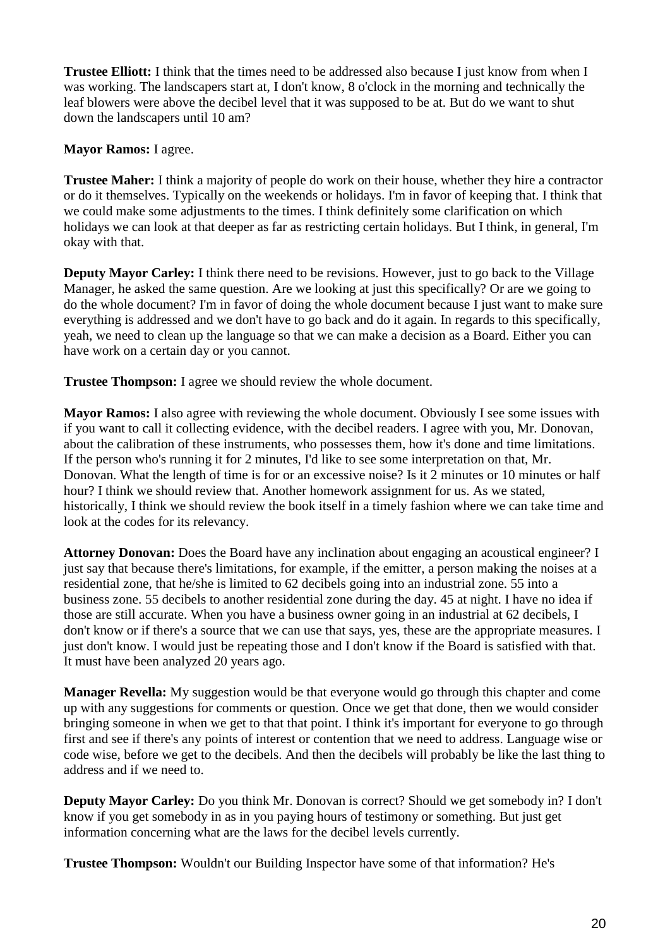**Trustee Elliott:** I think that the times need to be addressed also because I just know from when I was working. The landscapers start at, I don't know, 8 o'clock in the morning and technically the leaf blowers were above the decibel level that it was supposed to be at. But do we want to shut down the landscapers until 10 am?

**Mayor Ramos:** I agree.

**Trustee Maher:** I think a majority of people do work on their house, whether they hire a contractor or do it themselves. Typically on the weekends or holidays. I'm in favor of keeping that. I think that we could make some adjustments to the times. I think definitely some clarification on which holidays we can look at that deeper as far as restricting certain holidays. But I think, in general, I'm okay with that.

**Deputy Mayor Carley:** I think there need to be revisions. However, just to go back to the Village Manager, he asked the same question. Are we looking at just this specifically? Or are we going to do the whole document? I'm in favor of doing the whole document because I just want to make sure everything is addressed and we don't have to go back and do it again. In regards to this specifically, yeah, we need to clean up the language so that we can make a decision as a Board. Either you can have work on a certain day or you cannot.

**Trustee Thompson:** I agree we should review the whole document.

**Mayor Ramos:** I also agree with reviewing the whole document. Obviously I see some issues with if you want to call it collecting evidence, with the decibel readers. I agree with you, Mr. Donovan, about the calibration of these instruments, who possesses them, how it's done and time limitations. If the person who's running it for 2 minutes, I'd like to see some interpretation on that, Mr. Donovan. What the length of time is for or an excessive noise? Is it 2 minutes or 10 minutes or half hour? I think we should review that. Another homework assignment for us. As we stated, historically, I think we should review the book itself in a timely fashion where we can take time and look at the codes for its relevancy.

**Attorney Donovan:** Does the Board have any inclination about engaging an acoustical engineer? I just say that because there's limitations, for example, if the emitter, a person making the noises at a residential zone, that he/she is limited to 62 decibels going into an industrial zone. 55 into a business zone. 55 decibels to another residential zone during the day. 45 at night. I have no idea if those are still accurate. When you have a business owner going in an industrial at 62 decibels, I don't know or if there's a source that we can use that says, yes, these are the appropriate measures. I just don't know. I would just be repeating those and I don't know if the Board is satisfied with that. It must have been analyzed 20 years ago.

**Manager Revella:** My suggestion would be that everyone would go through this chapter and come up with any suggestions for comments or question. Once we get that done, then we would consider bringing someone in when we get to that that point. I think it's important for everyone to go through first and see if there's any points of interest or contention that we need to address. Language wise or code wise, before we get to the decibels. And then the decibels will probably be like the last thing to address and if we need to.

**Deputy Mayor Carley:** Do you think Mr. Donovan is correct? Should we get somebody in? I don't know if you get somebody in as in you paying hours of testimony or something. But just get information concerning what are the laws for the decibel levels currently.

**Trustee Thompson:** Wouldn't our Building Inspector have some of that information? He's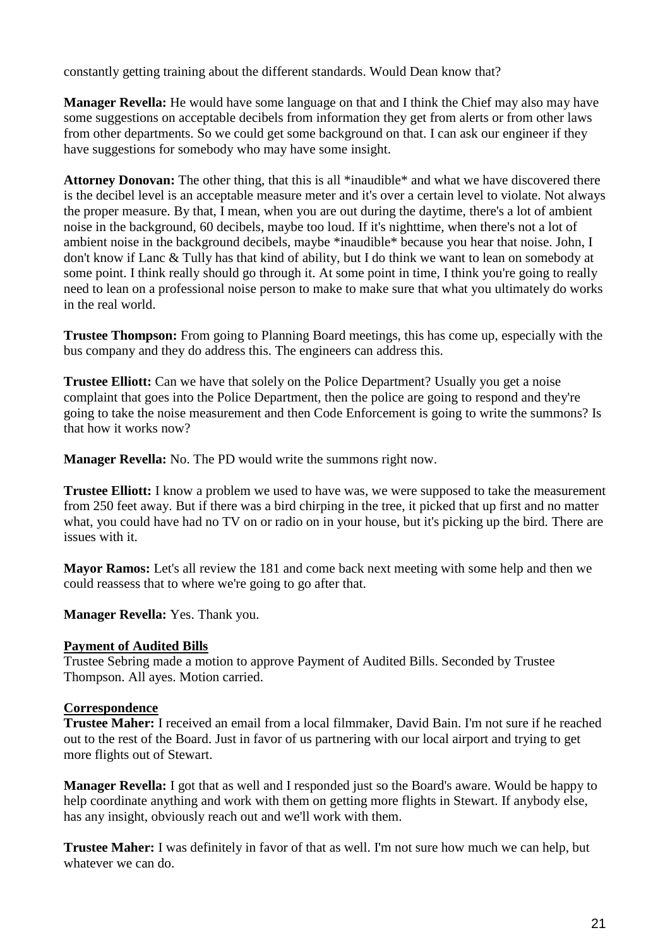constantly getting training about the different standards. Would Dean know that?

**Manager Revella:** He would have some language on that and I think the Chief may also may have some suggestions on acceptable decibels from information they get from alerts or from other laws from other departments. So we could get some background on that. I can ask our engineer if they have suggestions for somebody who may have some insight.

**Attorney Donovan:** The other thing, that this is all \*inaudible\* and what we have discovered there is the decibel level is an acceptable measure meter and it's over a certain level to violate. Not always the proper measure. By that, I mean, when you are out during the daytime, there's a lot of ambient noise in the background, 60 decibels, maybe too loud. If it's nighttime, when there's not a lot of ambient noise in the background decibels, maybe \*inaudible\* because you hear that noise. John, I don't know if Lanc & Tully has that kind of ability, but I do think we want to lean on somebody at some point. I think really should go through it. At some point in time, I think you're going to really need to lean on a professional noise person to make to make sure that what you ultimately do works in the real world.

**Trustee Thompson:** From going to Planning Board meetings, this has come up, especially with the bus company and they do address this. The engineers can address this.

**Trustee Elliott:** Can we have that solely on the Police Department? Usually you get a noise complaint that goes into the Police Department, then the police are going to respond and they're going to take the noise measurement and then Code Enforcement is going to write the summons? Is that how it works now?

**Manager Revella:** No. The PD would write the summons right now.

**Trustee Elliott:** I know a problem we used to have was, we were supposed to take the measurement from 250 feet away. But if there was a bird chirping in the tree, it picked that up first and no matter what, you could have had no TV on or radio on in your house, but it's picking up the bird. There are issues with it.

**Mayor Ramos:** Let's all review the 181 and come back next meeting with some help and then we could reassess that to where we're going to go after that.

**Manager Revella:** Yes. Thank you.

### **Payment of Audited Bills**

Trustee Sebring made a motion to approve Payment of Audited Bills. Seconded by Trustee Thompson. All ayes. Motion carried.

### **Correspondence**

**Trustee Maher:** I received an email from a local filmmaker, David Bain. I'm not sure if he reached out to the rest of the Board. Just in favor of us partnering with our local airport and trying to get more flights out of Stewart.

**Manager Revella:** I got that as well and I responded just so the Board's aware. Would be happy to help coordinate anything and work with them on getting more flights in Stewart. If anybody else, has any insight, obviously reach out and we'll work with them.

**Trustee Maher:** I was definitely in favor of that as well. I'm not sure how much we can help, but whatever we can do.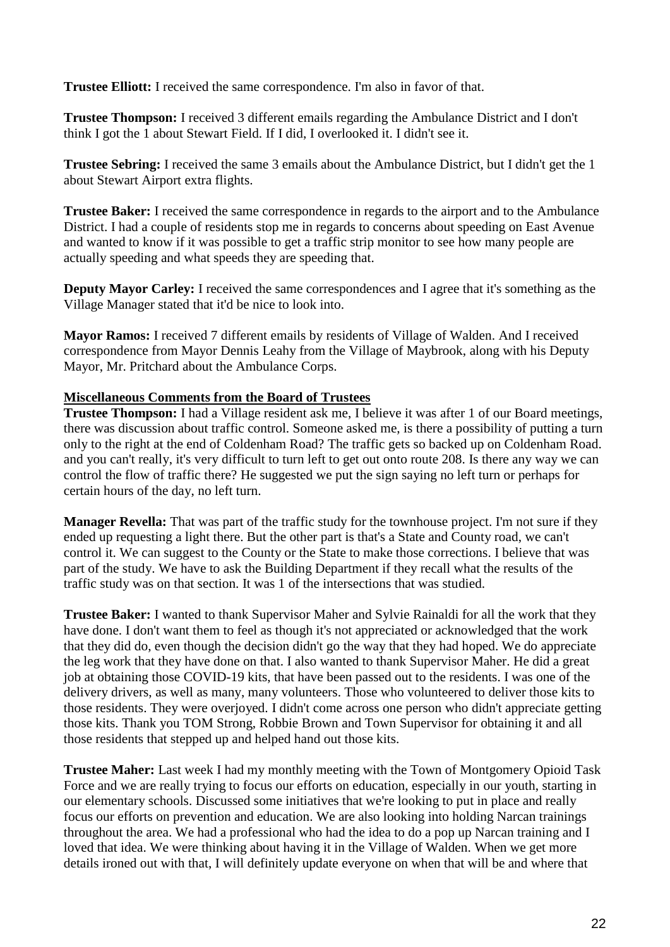**Trustee Elliott:** I received the same correspondence. I'm also in favor of that.

**Trustee Thompson:** I received 3 different emails regarding the Ambulance District and I don't think I got the 1 about Stewart Field. If I did, I overlooked it. I didn't see it.

**Trustee Sebring:** I received the same 3 emails about the Ambulance District, but I didn't get the 1 about Stewart Airport extra flights.

**Trustee Baker:** I received the same correspondence in regards to the airport and to the Ambulance District. I had a couple of residents stop me in regards to concerns about speeding on East Avenue and wanted to know if it was possible to get a traffic strip monitor to see how many people are actually speeding and what speeds they are speeding that.

**Deputy Mayor Carley:** I received the same correspondences and I agree that it's something as the Village Manager stated that it'd be nice to look into.

**Mayor Ramos:** I received 7 different emails by residents of Village of Walden. And I received correspondence from Mayor Dennis Leahy from the Village of Maybrook, along with his Deputy Mayor, Mr. Pritchard about the Ambulance Corps.

### **Miscellaneous Comments from the Board of Trustees**

**Trustee Thompson:** I had a Village resident ask me, I believe it was after 1 of our Board meetings, there was discussion about traffic control. Someone asked me, is there a possibility of putting a turn only to the right at the end of Coldenham Road? The traffic gets so backed up on Coldenham Road. and you can't really, it's very difficult to turn left to get out onto route 208. Is there any way we can control the flow of traffic there? He suggested we put the sign saying no left turn or perhaps for certain hours of the day, no left turn.

**Manager Revella:** That was part of the traffic study for the townhouse project. I'm not sure if they ended up requesting a light there. But the other part is that's a State and County road, we can't control it. We can suggest to the County or the State to make those corrections. I believe that was part of the study. We have to ask the Building Department if they recall what the results of the traffic study was on that section. It was 1 of the intersections that was studied.

**Trustee Baker:** I wanted to thank Supervisor Maher and Sylvie Rainaldi for all the work that they have done. I don't want them to feel as though it's not appreciated or acknowledged that the work that they did do, even though the decision didn't go the way that they had hoped. We do appreciate the leg work that they have done on that. I also wanted to thank Supervisor Maher. He did a great job at obtaining those COVID-19 kits, that have been passed out to the residents. I was one of the delivery drivers, as well as many, many volunteers. Those who volunteered to deliver those kits to those residents. They were overjoyed. I didn't come across one person who didn't appreciate getting those kits. Thank you TOM Strong, Robbie Brown and Town Supervisor for obtaining it and all those residents that stepped up and helped hand out those kits.

**Trustee Maher:** Last week I had my monthly meeting with the Town of Montgomery Opioid Task Force and we are really trying to focus our efforts on education, especially in our youth, starting in our elementary schools. Discussed some initiatives that we're looking to put in place and really focus our efforts on prevention and education. We are also looking into holding Narcan trainings throughout the area. We had a professional who had the idea to do a pop up Narcan training and I loved that idea. We were thinking about having it in the Village of Walden. When we get more details ironed out with that, I will definitely update everyone on when that will be and where that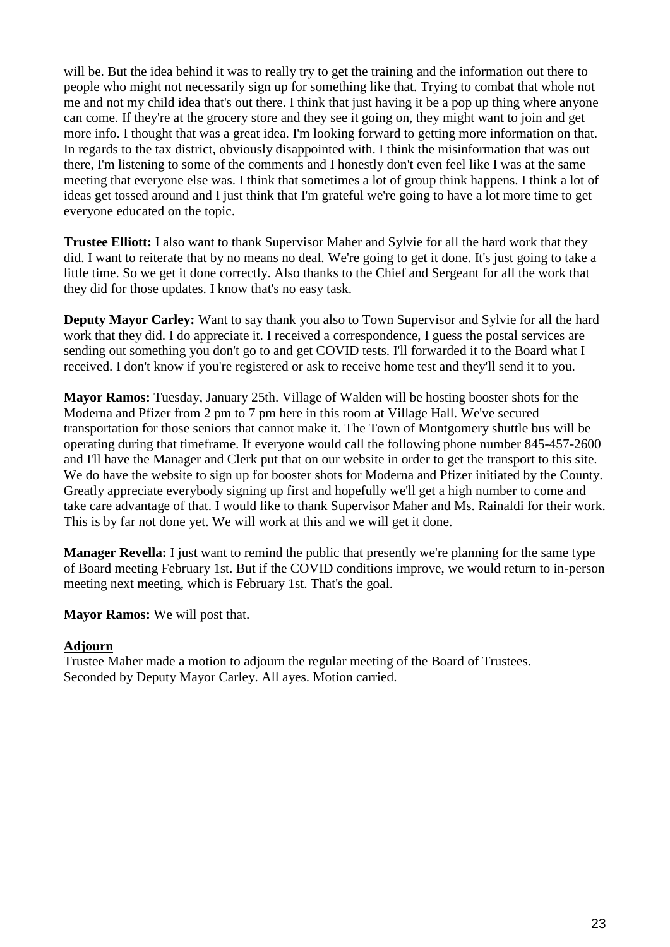will be. But the idea behind it was to really try to get the training and the information out there to people who might not necessarily sign up for something like that. Trying to combat that whole not me and not my child idea that's out there. I think that just having it be a pop up thing where anyone can come. If they're at the grocery store and they see it going on, they might want to join and get more info. I thought that was a great idea. I'm looking forward to getting more information on that. In regards to the tax district, obviously disappointed with. I think the misinformation that was out there, I'm listening to some of the comments and I honestly don't even feel like I was at the same meeting that everyone else was. I think that sometimes a lot of group think happens. I think a lot of ideas get tossed around and I just think that I'm grateful we're going to have a lot more time to get everyone educated on the topic.

**Trustee Elliott:** I also want to thank Supervisor Maher and Sylvie for all the hard work that they did. I want to reiterate that by no means no deal. We're going to get it done. It's just going to take a little time. So we get it done correctly. Also thanks to the Chief and Sergeant for all the work that they did for those updates. I know that's no easy task.

**Deputy Mayor Carley:** Want to say thank you also to Town Supervisor and Sylvie for all the hard work that they did. I do appreciate it. I received a correspondence, I guess the postal services are sending out something you don't go to and get COVID tests. I'll forwarded it to the Board what I received. I don't know if you're registered or ask to receive home test and they'll send it to you.

**Mayor Ramos:** Tuesday, January 25th. Village of Walden will be hosting booster shots for the Moderna and Pfizer from 2 pm to 7 pm here in this room at Village Hall. We've secured transportation for those seniors that cannot make it. The Town of Montgomery shuttle bus will be operating during that timeframe. If everyone would call the following phone number 845-457-2600 and I'll have the Manager and Clerk put that on our website in order to get the transport to this site. We do have the website to sign up for booster shots for Moderna and Pfizer initiated by the County. Greatly appreciate everybody signing up first and hopefully we'll get a high number to come and take care advantage of that. I would like to thank Supervisor Maher and Ms. Rainaldi for their work. This is by far not done yet. We will work at this and we will get it done.

**Manager Revella:** I just want to remind the public that presently we're planning for the same type of Board meeting February 1st. But if the COVID conditions improve, we would return to in-person meeting next meeting, which is February 1st. That's the goal.

**Mayor Ramos:** We will post that.

### **Adjourn**

Trustee Maher made a motion to adjourn the regular meeting of the Board of Trustees. Seconded by Deputy Mayor Carley. All ayes. Motion carried.